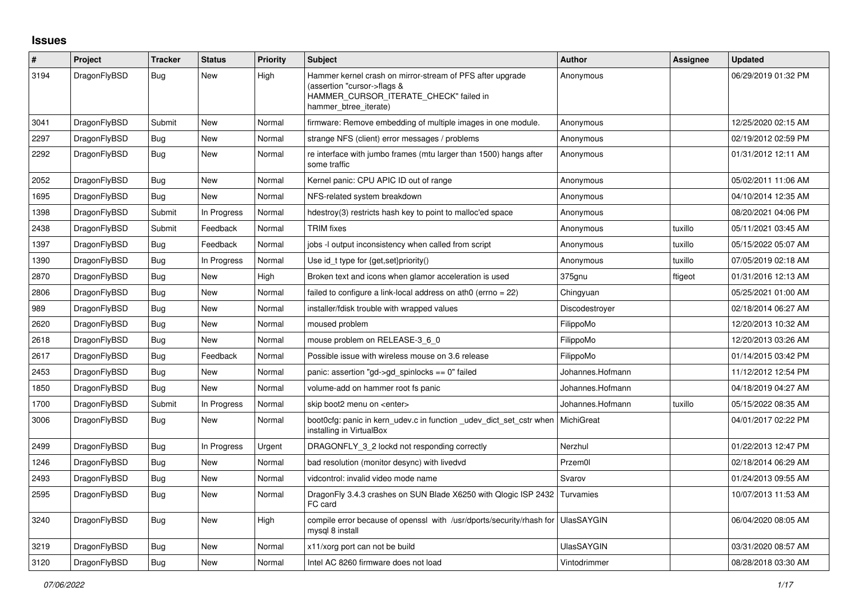## **Issues**

| #    | Project      | <b>Tracker</b> | <b>Status</b> | <b>Priority</b> | <b>Subject</b>                                                                                                                                              | <b>Author</b>     | Assignee | <b>Updated</b>      |
|------|--------------|----------------|---------------|-----------------|-------------------------------------------------------------------------------------------------------------------------------------------------------------|-------------------|----------|---------------------|
| 3194 | DragonFlyBSD | <b>Bug</b>     | New           | High            | Hammer kernel crash on mirror-stream of PFS after upgrade<br>(assertion "cursor->flags &<br>HAMMER_CURSOR_ITERATE_CHECK" failed in<br>hammer btree iterate) | Anonymous         |          | 06/29/2019 01:32 PM |
| 3041 | DragonFlyBSD | Submit         | New           | Normal          | firmware: Remove embedding of multiple images in one module.                                                                                                | Anonymous         |          | 12/25/2020 02:15 AM |
| 2297 | DragonFlyBSD | <b>Bug</b>     | New           | Normal          | strange NFS (client) error messages / problems                                                                                                              | Anonymous         |          | 02/19/2012 02:59 PM |
| 2292 | DragonFlyBSD | <b>Bug</b>     | New           | Normal          | re interface with jumbo frames (mtu larger than 1500) hangs after<br>some traffic                                                                           | Anonymous         |          | 01/31/2012 12:11 AM |
| 2052 | DragonFlyBSD | <b>Bug</b>     | New           | Normal          | Kernel panic: CPU APIC ID out of range                                                                                                                      | Anonymous         |          | 05/02/2011 11:06 AM |
| 1695 | DragonFlyBSD | <b>Bug</b>     | New           | Normal          | NFS-related system breakdown                                                                                                                                | Anonymous         |          | 04/10/2014 12:35 AM |
| 1398 | DragonFlyBSD | Submit         | In Progress   | Normal          | hdestroy(3) restricts hash key to point to malloc'ed space                                                                                                  | Anonymous         |          | 08/20/2021 04:06 PM |
| 2438 | DragonFlyBSD | Submit         | Feedback      | Normal          | <b>TRIM</b> fixes                                                                                                                                           | Anonymous         | tuxillo  | 05/11/2021 03:45 AM |
| 1397 | DragonFlyBSD | <b>Bug</b>     | Feedback      | Normal          | jobs -I output inconsistency when called from script                                                                                                        | Anonymous         | tuxillo  | 05/15/2022 05:07 AM |
| 1390 | DragonFlyBSD | Bug            | In Progress   | Normal          | Use id_t type for {get, set}priority()                                                                                                                      | Anonymous         | tuxillo  | 07/05/2019 02:18 AM |
| 2870 | DragonFlyBSD | <b>Bug</b>     | New           | High            | Broken text and icons when glamor acceleration is used                                                                                                      | 375gnu            | ftigeot  | 01/31/2016 12:13 AM |
| 2806 | DragonFlyBSD | <b>Bug</b>     | <b>New</b>    | Normal          | failed to configure a link-local address on ath0 (errno = 22)                                                                                               | Chingyuan         |          | 05/25/2021 01:00 AM |
| 989  | DragonFlyBSD | <b>Bug</b>     | New           | Normal          | installer/fdisk trouble with wrapped values                                                                                                                 | Discodestroyer    |          | 02/18/2014 06:27 AM |
| 2620 | DragonFlyBSD | Bug            | New           | Normal          | moused problem                                                                                                                                              | FilippoMo         |          | 12/20/2013 10:32 AM |
| 2618 | DragonFlyBSD | <b>Bug</b>     | New           | Normal          | mouse problem on RELEASE-3_6_0                                                                                                                              | FilippoMo         |          | 12/20/2013 03:26 AM |
| 2617 | DragonFlyBSD | Bug            | Feedback      | Normal          | Possible issue with wireless mouse on 3.6 release                                                                                                           | FilippoMo         |          | 01/14/2015 03:42 PM |
| 2453 | DragonFlyBSD | <b>Bug</b>     | New           | Normal          | panic: assertion "gd->gd spinlocks == $0$ " failed                                                                                                          | Johannes.Hofmann  |          | 11/12/2012 12:54 PM |
| 1850 | DragonFlyBSD | Bug            | New           | Normal          | volume-add on hammer root fs panic                                                                                                                          | Johannes.Hofmann  |          | 04/18/2019 04:27 AM |
| 1700 | DragonFlyBSD | Submit         | In Progress   | Normal          | skip boot2 menu on <enter></enter>                                                                                                                          | Johannes.Hofmann  | tuxillo  | 05/15/2022 08:35 AM |
| 3006 | DragonFlyBSD | <b>Bug</b>     | <b>New</b>    | Normal          | boot0cfg: panic in kern udev.c in function udev dict set cstr when<br>installing in VirtualBox                                                              | MichiGreat        |          | 04/01/2017 02:22 PM |
| 2499 | DragonFlyBSD | <b>Bug</b>     | In Progress   | Urgent          | DRAGONFLY 3 2 lockd not responding correctly                                                                                                                | Nerzhul           |          | 01/22/2013 12:47 PM |
| 1246 | DragonFlyBSD | Bug            | New           | Normal          | bad resolution (monitor desync) with livedvd                                                                                                                | Przem0l           |          | 02/18/2014 06:29 AM |
| 2493 | DragonFlyBSD | Bug            | New           | Normal          | vidcontrol: invalid video mode name                                                                                                                         | Svarov            |          | 01/24/2013 09:55 AM |
| 2595 | DragonFlyBSD | Bug            | <b>New</b>    | Normal          | DragonFly 3.4.3 crashes on SUN Blade X6250 with Qlogic ISP 2432<br>FC card                                                                                  | Turvamies         |          | 10/07/2013 11:53 AM |
| 3240 | DragonFlyBSD | <b>Bug</b>     | New           | High            | compile error because of openssl with /usr/dports/security/rhash for UlasSAYGIN<br>mysql 8 install                                                          |                   |          | 06/04/2020 08:05 AM |
| 3219 | DragonFlyBSD | Bug            | New           | Normal          | x11/xorg port can not be build                                                                                                                              | <b>UlasSAYGIN</b> |          | 03/31/2020 08:57 AM |
| 3120 | DragonFlyBSD | Bug            | New           | Normal          | Intel AC 8260 firmware does not load                                                                                                                        | Vintodrimmer      |          | 08/28/2018 03:30 AM |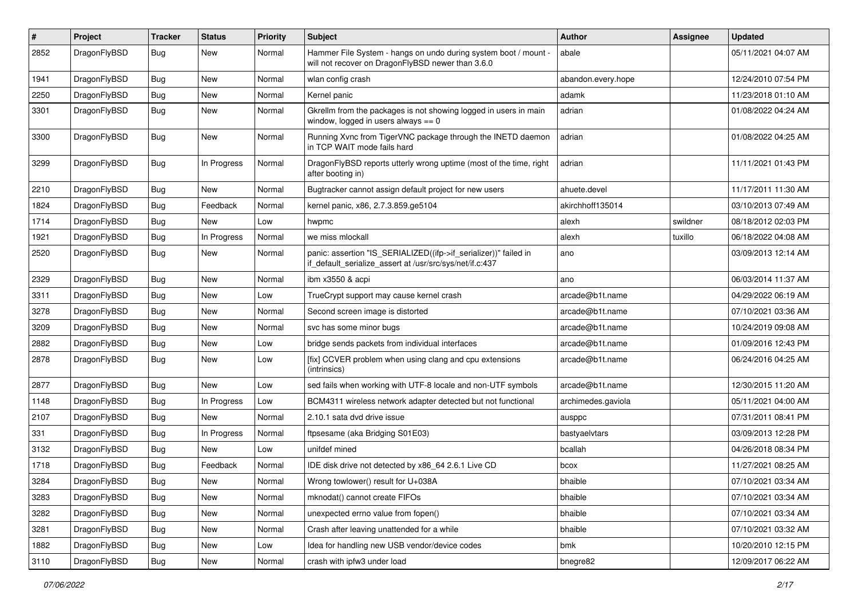| $\#$ | Project      | <b>Tracker</b> | <b>Status</b> | <b>Priority</b> | Subject                                                                                                                      | <b>Author</b>      | Assignee | <b>Updated</b>      |
|------|--------------|----------------|---------------|-----------------|------------------------------------------------------------------------------------------------------------------------------|--------------------|----------|---------------------|
| 2852 | DragonFlyBSD | Bug            | New           | Normal          | Hammer File System - hangs on undo during system boot / mount -<br>will not recover on DragonFlyBSD newer than 3.6.0         | abale              |          | 05/11/2021 04:07 AM |
| 1941 | DragonFlyBSD | <b>Bug</b>     | New           | Normal          | wlan config crash                                                                                                            | abandon.every.hope |          | 12/24/2010 07:54 PM |
| 2250 | DragonFlyBSD | <b>Bug</b>     | <b>New</b>    | Normal          | Kernel panic                                                                                                                 | adamk              |          | 11/23/2018 01:10 AM |
| 3301 | DragonFlyBSD | Bug            | New           | Normal          | Gkrellm from the packages is not showing logged in users in main<br>window, logged in users always $== 0$                    | adrian             |          | 01/08/2022 04:24 AM |
| 3300 | DragonFlyBSD | Bug            | New           | Normal          | Running Xvnc from TigerVNC package through the INETD daemon<br>in TCP WAIT mode fails hard                                   | adrian             |          | 01/08/2022 04:25 AM |
| 3299 | DragonFlyBSD | Bug            | In Progress   | Normal          | DragonFlyBSD reports utterly wrong uptime (most of the time, right<br>after booting in)                                      | adrian             |          | 11/11/2021 01:43 PM |
| 2210 | DragonFlyBSD | <b>Bug</b>     | New           | Normal          | Bugtracker cannot assign default project for new users                                                                       | ahuete.devel       |          | 11/17/2011 11:30 AM |
| 1824 | DragonFlyBSD | <b>Bug</b>     | Feedback      | Normal          | kernel panic, x86, 2.7.3.859.ge5104                                                                                          | akirchhoff135014   |          | 03/10/2013 07:49 AM |
| 1714 | DragonFlyBSD | Bug            | New           | Low             | hwpmc                                                                                                                        | alexh              | swildner | 08/18/2012 02:03 PM |
| 1921 | DragonFlyBSD | Bug            | In Progress   | Normal          | we miss mlockall                                                                                                             | alexh              | tuxillo  | 06/18/2022 04:08 AM |
| 2520 | DragonFlyBSD | <b>Bug</b>     | <b>New</b>    | Normal          | panic: assertion "IS_SERIALIZED((ifp->if_serializer))" failed in<br>if_default_serialize_assert at /usr/src/sys/net/if.c:437 | ano                |          | 03/09/2013 12:14 AM |
| 2329 | DragonFlyBSD | Bug            | <b>New</b>    | Normal          | ibm x3550 & acpi                                                                                                             | ano                |          | 06/03/2014 11:37 AM |
| 3311 | DragonFlyBSD | Bug            | New           | Low             | TrueCrypt support may cause kernel crash                                                                                     | arcade@b1t.name    |          | 04/29/2022 06:19 AM |
| 3278 | DragonFlyBSD | Bug            | <b>New</b>    | Normal          | Second screen image is distorted                                                                                             | arcade@b1t.name    |          | 07/10/2021 03:36 AM |
| 3209 | DragonFlyBSD | Bug            | <b>New</b>    | Normal          | svc has some minor bugs                                                                                                      | arcade@b1t.name    |          | 10/24/2019 09:08 AM |
| 2882 | DragonFlyBSD | Bug            | New           | Low             | bridge sends packets from individual interfaces                                                                              | arcade@b1t.name    |          | 01/09/2016 12:43 PM |
| 2878 | DragonFlyBSD | Bug            | New           | Low             | [fix] CCVER problem when using clang and cpu extensions<br>(intrinsics)                                                      | arcade@b1t.name    |          | 06/24/2016 04:25 AM |
| 2877 | DragonFlyBSD | Bug            | <b>New</b>    | Low             | sed fails when working with UTF-8 locale and non-UTF symbols                                                                 | arcade@b1t.name    |          | 12/30/2015 11:20 AM |
| 1148 | DragonFlyBSD | Bug            | In Progress   | Low             | BCM4311 wireless network adapter detected but not functional                                                                 | archimedes.gaviola |          | 05/11/2021 04:00 AM |
| 2107 | DragonFlyBSD | Bug            | <b>New</b>    | Normal          | 2.10.1 sata dvd drive issue                                                                                                  | ausppc             |          | 07/31/2011 08:41 PM |
| 331  | DragonFlyBSD | <b>Bug</b>     | In Progress   | Normal          | ftpsesame (aka Bridging S01E03)                                                                                              | bastyaelvtars      |          | 03/09/2013 12:28 PM |
| 3132 | DragonFlyBSD | Bug            | New           | Low             | unifdef mined                                                                                                                | bcallah            |          | 04/26/2018 08:34 PM |
| 1718 | DragonFlyBSD | <b>Bug</b>     | Feedback      | Normal          | IDE disk drive not detected by x86 64 2.6.1 Live CD                                                                          | bcox               |          | 11/27/2021 08:25 AM |
| 3284 | DragonFlyBSD | Bug            | <b>New</b>    | Normal          | Wrong towlower() result for U+038A                                                                                           | bhaible            |          | 07/10/2021 03:34 AM |
| 3283 | DragonFlyBSD | <b>Bug</b>     | New           | Normal          | mknodat() cannot create FIFOs                                                                                                | bhaible            |          | 07/10/2021 03:34 AM |
| 3282 | DragonFlyBSD | <b>Bug</b>     | New           | Normal          | unexpected errno value from fopen()                                                                                          | bhaible            |          | 07/10/2021 03:34 AM |
| 3281 | DragonFlyBSD | <b>Bug</b>     | <b>New</b>    | Normal          | Crash after leaving unattended for a while                                                                                   | bhaible            |          | 07/10/2021 03:32 AM |
| 1882 | DragonFlyBSD | <b>Bug</b>     | <b>New</b>    | Low             | Idea for handling new USB vendor/device codes                                                                                | bmk                |          | 10/20/2010 12:15 PM |
| 3110 | DragonFlyBSD | Bug            | New           | Normal          | crash with ipfw3 under load                                                                                                  | bnegre82           |          | 12/09/2017 06:22 AM |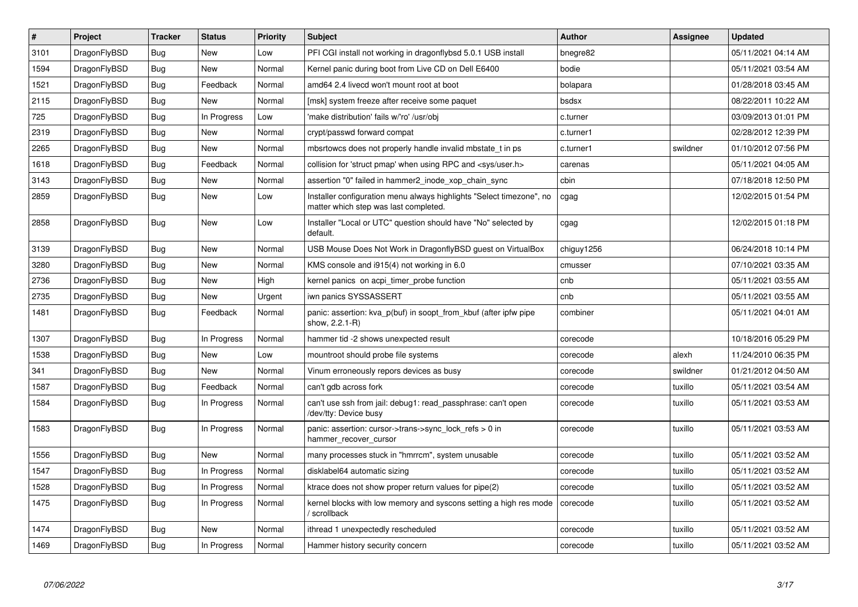| $\vert$ # | <b>Project</b> | <b>Tracker</b> | <b>Status</b> | <b>Priority</b> | <b>Subject</b>                                                                                                | Author     | Assignee | <b>Updated</b>      |
|-----------|----------------|----------------|---------------|-----------------|---------------------------------------------------------------------------------------------------------------|------------|----------|---------------------|
| 3101      | DragonFlyBSD   | Bug            | <b>New</b>    | Low             | PFI CGI install not working in dragonflybsd 5.0.1 USB install                                                 | bnegre82   |          | 05/11/2021 04:14 AM |
| 1594      | DragonFlyBSD   | Bug            | <b>New</b>    | Normal          | Kernel panic during boot from Live CD on Dell E6400                                                           | bodie      |          | 05/11/2021 03:54 AM |
| 1521      | DragonFlyBSD   | <b>Bug</b>     | Feedback      | Normal          | amd64 2.4 livecd won't mount root at boot                                                                     | bolapara   |          | 01/28/2018 03:45 AM |
| 2115      | DragonFlyBSD   | Bug            | <b>New</b>    | Normal          | [msk] system freeze after receive some paquet                                                                 | bsdsx      |          | 08/22/2011 10:22 AM |
| 725       | DragonFlyBSD   | <b>Bug</b>     | In Progress   | Low             | 'make distribution' fails w/'ro' /usr/obj                                                                     | c.turner   |          | 03/09/2013 01:01 PM |
| 2319      | DragonFlyBSD   | Bug            | <b>New</b>    | Normal          | crypt/passwd forward compat                                                                                   | c.turner1  |          | 02/28/2012 12:39 PM |
| 2265      | DragonFlyBSD   | <b>Bug</b>     | <b>New</b>    | Normal          | mbsrtowcs does not properly handle invalid mbstate t in ps                                                    | c.turner1  | swildner | 01/10/2012 07:56 PM |
| 1618      | DragonFlyBSD   | Bug            | Feedback      | Normal          | collision for 'struct pmap' when using RPC and <sys user.h=""></sys>                                          | carenas    |          | 05/11/2021 04:05 AM |
| 3143      | DragonFlyBSD   | <b>Bug</b>     | <b>New</b>    | Normal          | assertion "0" failed in hammer2_inode_xop_chain_sync                                                          | cbin       |          | 07/18/2018 12:50 PM |
| 2859      | DragonFlyBSD   | Bug            | New           | Low             | Installer configuration menu always highlights "Select timezone", no<br>matter which step was last completed. | cgag       |          | 12/02/2015 01:54 PM |
| 2858      | DragonFlyBSD   | Bug            | <b>New</b>    | Low             | Installer "Local or UTC" question should have "No" selected by<br>default.                                    | cgag       |          | 12/02/2015 01:18 PM |
| 3139      | DragonFlyBSD   | Bug            | <b>New</b>    | Normal          | USB Mouse Does Not Work in DragonflyBSD guest on VirtualBox                                                   | chiguy1256 |          | 06/24/2018 10:14 PM |
| 3280      | DragonFlyBSD   | <b>Bug</b>     | <b>New</b>    | Normal          | KMS console and i915(4) not working in 6.0                                                                    | cmusser    |          | 07/10/2021 03:35 AM |
| 2736      | DragonFlyBSD   | Bug            | <b>New</b>    | High            | kernel panics on acpi timer probe function                                                                    | cnb        |          | 05/11/2021 03:55 AM |
| 2735      | DragonFlyBSD   | Bug            | <b>New</b>    | Urgent          | iwn panics SYSSASSERT                                                                                         | cnb        |          | 05/11/2021 03:55 AM |
| 1481      | DragonFlyBSD   | Bug            | Feedback      | Normal          | panic: assertion: kva p(buf) in soopt from kbuf (after ipfw pipe<br>show, 2.2.1-R)                            | combiner   |          | 05/11/2021 04:01 AM |
| 1307      | DragonFlyBSD   | Bug            | In Progress   | Normal          | hammer tid -2 shows unexpected result                                                                         | corecode   |          | 10/18/2016 05:29 PM |
| 1538      | DragonFlyBSD   | <b>Bug</b>     | <b>New</b>    | Low             | mountroot should probe file systems                                                                           | corecode   | alexh    | 11/24/2010 06:35 PM |
| 341       | DragonFlyBSD   | Bug            | <b>New</b>    | Normal          | Vinum erroneously repors devices as busy                                                                      | corecode   | swildner | 01/21/2012 04:50 AM |
| 1587      | DragonFlyBSD   | <b>Bug</b>     | Feedback      | Normal          | can't gdb across fork                                                                                         | corecode   | tuxillo  | 05/11/2021 03:54 AM |
| 1584      | DragonFlyBSD   | Bug            | In Progress   | Normal          | can't use ssh from jail: debug1: read_passphrase: can't open<br>/dev/tty: Device busy                         | corecode   | tuxillo  | 05/11/2021 03:53 AM |
| 1583      | DragonFlyBSD   | Bug            | In Progress   | Normal          | panic: assertion: cursor->trans->sync lock refs $> 0$ in<br>hammer_recover_cursor                             | corecode   | tuxillo  | 05/11/2021 03:53 AM |
| 1556      | DragonFlyBSD   | Bug            | <b>New</b>    | Normal          | many processes stuck in "hmrrcm", system unusable                                                             | corecode   | tuxillo  | 05/11/2021 03:52 AM |
| 1547      | DragonFlyBSD   | Bug            | In Progress   | Normal          | disklabel64 automatic sizing                                                                                  | corecode   | tuxillo  | 05/11/2021 03:52 AM |
| 1528      | DragonFlyBSD   | Bug            | In Progress   | Normal          | ktrace does not show proper return values for pipe(2)                                                         | corecode   | tuxillo  | 05/11/2021 03:52 AM |
| 1475      | DragonFlyBSD   | Bug            | In Progress   | Normal          | kernel blocks with low memory and syscons setting a high res mode<br>/ scrollback                             | corecode   | tuxillo  | 05/11/2021 03:52 AM |
| 1474      | DragonFlyBSD   | Bug            | <b>New</b>    | Normal          | ithread 1 unexpectedly rescheduled                                                                            | corecode   | tuxillo  | 05/11/2021 03:52 AM |
| 1469      | DragonFlyBSD   | Bug            | In Progress   | Normal          | Hammer history security concern                                                                               | corecode   | tuxillo  | 05/11/2021 03:52 AM |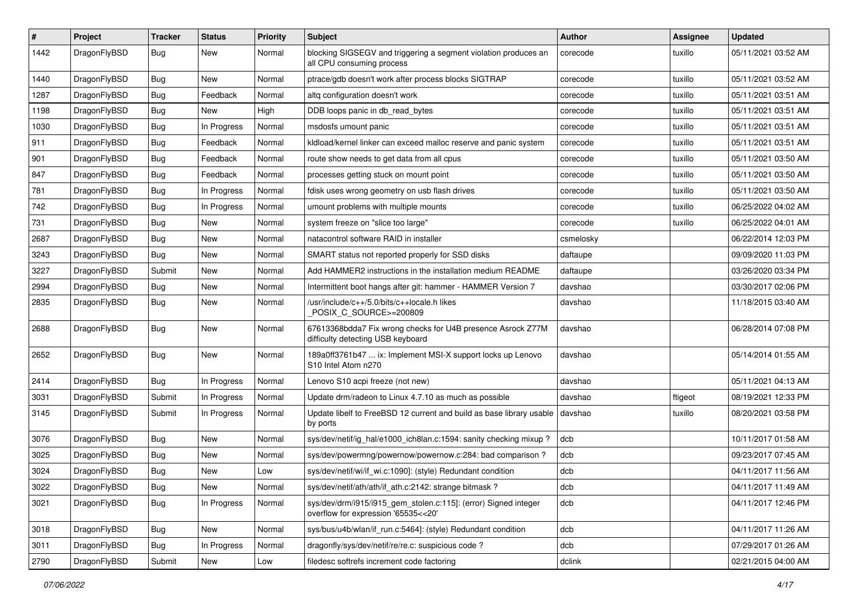| ∦    | Project      | <b>Tracker</b> | <b>Status</b> | <b>Priority</b> | Subject                                                                                                | Author    | <b>Assignee</b> | <b>Updated</b>      |
|------|--------------|----------------|---------------|-----------------|--------------------------------------------------------------------------------------------------------|-----------|-----------------|---------------------|
| 1442 | DragonFlyBSD | <b>Bug</b>     | New           | Normal          | blocking SIGSEGV and triggering a segment violation produces an<br>all CPU consuming process           | corecode  | tuxillo         | 05/11/2021 03:52 AM |
| 1440 | DragonFlyBSD | <b>Bug</b>     | New           | Normal          | ptrace/gdb doesn't work after process blocks SIGTRAP                                                   | corecode  | tuxillo         | 05/11/2021 03:52 AM |
| 1287 | DragonFlyBSD | Bug            | Feedback      | Normal          | altg configuration doesn't work                                                                        | corecode  | tuxillo         | 05/11/2021 03:51 AM |
| 1198 | DragonFlyBSD | <b>Bug</b>     | New           | High            | DDB loops panic in db_read_bytes                                                                       | corecode  | tuxillo         | 05/11/2021 03:51 AM |
| 1030 | DragonFlyBSD | <b>Bug</b>     | In Progress   | Normal          | msdosfs umount panic                                                                                   | corecode  | tuxillo         | 05/11/2021 03:51 AM |
| 911  | DragonFlyBSD | Bug            | Feedback      | Normal          | kldload/kernel linker can exceed malloc reserve and panic system                                       | corecode  | tuxillo         | 05/11/2021 03:51 AM |
| 901  | DragonFlyBSD | <b>Bug</b>     | Feedback      | Normal          | route show needs to get data from all cpus                                                             | corecode  | tuxillo         | 05/11/2021 03:50 AM |
| 847  | DragonFlyBSD | <b>Bug</b>     | Feedback      | Normal          | processes getting stuck on mount point                                                                 | corecode  | tuxillo         | 05/11/2021 03:50 AM |
| 781  | DragonFlyBSD | <b>Bug</b>     | In Progress   | Normal          | fdisk uses wrong geometry on usb flash drives                                                          | corecode  | tuxillo         | 05/11/2021 03:50 AM |
| 742  | DragonFlyBSD | <b>Bug</b>     | In Progress   | Normal          | umount problems with multiple mounts                                                                   | corecode  | tuxillo         | 06/25/2022 04:02 AM |
| 731  | DragonFlyBSD | Bug            | New           | Normal          | system freeze on "slice too large"                                                                     | corecode  | tuxillo         | 06/25/2022 04:01 AM |
| 2687 | DragonFlyBSD | <b>Bug</b>     | New           | Normal          | natacontrol software RAID in installer                                                                 | csmelosky |                 | 06/22/2014 12:03 PM |
| 3243 | DragonFlyBSD | Bug            | New           | Normal          | SMART status not reported properly for SSD disks                                                       | daftaupe  |                 | 09/09/2020 11:03 PM |
| 3227 | DragonFlyBSD | Submit         | New           | Normal          | Add HAMMER2 instructions in the installation medium README                                             | daftaupe  |                 | 03/26/2020 03:34 PM |
| 2994 | DragonFlyBSD | <b>Bug</b>     | New           | Normal          | Intermittent boot hangs after git: hammer - HAMMER Version 7                                           | davshao   |                 | 03/30/2017 02:06 PM |
| 2835 | DragonFlyBSD | Bug            | New           | Normal          | /usr/include/c++/5.0/bits/c++locale.h likes<br>POSIX C_SOURCE>=200809                                  | davshao   |                 | 11/18/2015 03:40 AM |
| 2688 | DragonFlyBSD | Bug            | <b>New</b>    | Normal          | 67613368bdda7 Fix wrong checks for U4B presence Asrock Z77M<br>difficulty detecting USB keyboard       | davshao   |                 | 06/28/2014 07:08 PM |
| 2652 | DragonFlyBSD | Bug            | New           | Normal          | 189a0ff3761b47  ix: Implement MSI-X support locks up Lenovo<br>S10 Intel Atom n270                     | davshao   |                 | 05/14/2014 01:55 AM |
| 2414 | DragonFlyBSD | Bug            | In Progress   | Normal          | Lenovo S10 acpi freeze (not new)                                                                       | davshao   |                 | 05/11/2021 04:13 AM |
| 3031 | DragonFlyBSD | Submit         | In Progress   | Normal          | Update drm/radeon to Linux 4.7.10 as much as possible                                                  | davshao   | ftigeot         | 08/19/2021 12:33 PM |
| 3145 | DragonFlyBSD | Submit         | In Progress   | Normal          | Update libelf to FreeBSD 12 current and build as base library usable<br>by ports                       | davshao   | tuxillo         | 08/20/2021 03:58 PM |
| 3076 | DragonFlyBSD | <b>Bug</b>     | New           | Normal          | sys/dev/netif/ig hal/e1000 ich8lan.c:1594: sanity checking mixup?                                      | dcb       |                 | 10/11/2017 01:58 AM |
| 3025 | DragonFlyBSD | <b>Bug</b>     | <b>New</b>    | Normal          | sys/dev/powermng/powernow/powernow.c:284: bad comparison?                                              | dcb       |                 | 09/23/2017 07:45 AM |
| 3024 | DragonFlyBSD | <b>Bug</b>     | New           | Low             | sys/dev/netif/wi/if_wi.c:1090]: (style) Redundant condition                                            | dcb       |                 | 04/11/2017 11:56 AM |
| 3022 | DragonFlyBSD | <b>Bug</b>     | New           | Normal          | sys/dev/netif/ath/ath/if_ath.c:2142: strange bitmask?                                                  | dcb       |                 | 04/11/2017 11:49 AM |
| 3021 | DragonFlyBSD | <b>Bug</b>     | In Progress   | Normal          | sys/dev/drm/i915/i915_gem_stolen.c:115]: (error) Signed integer<br>overflow for expression '65535<<20' | dcb       |                 | 04/11/2017 12:46 PM |
| 3018 | DragonFlyBSD | <b>Bug</b>     | New           | Normal          | sys/bus/u4b/wlan/if_run.c:5464]: (style) Redundant condition                                           | dcb       |                 | 04/11/2017 11:26 AM |
| 3011 | DragonFlyBSD | <b>Bug</b>     | In Progress   | Normal          | dragonfly/sys/dev/netif/re/re.c: suspicious code?                                                      | dcb       |                 | 07/29/2017 01:26 AM |
| 2790 | DragonFlyBSD | Submit         | New           | Low             | filedesc softrefs increment code factoring                                                             | dclink    |                 | 02/21/2015 04:00 AM |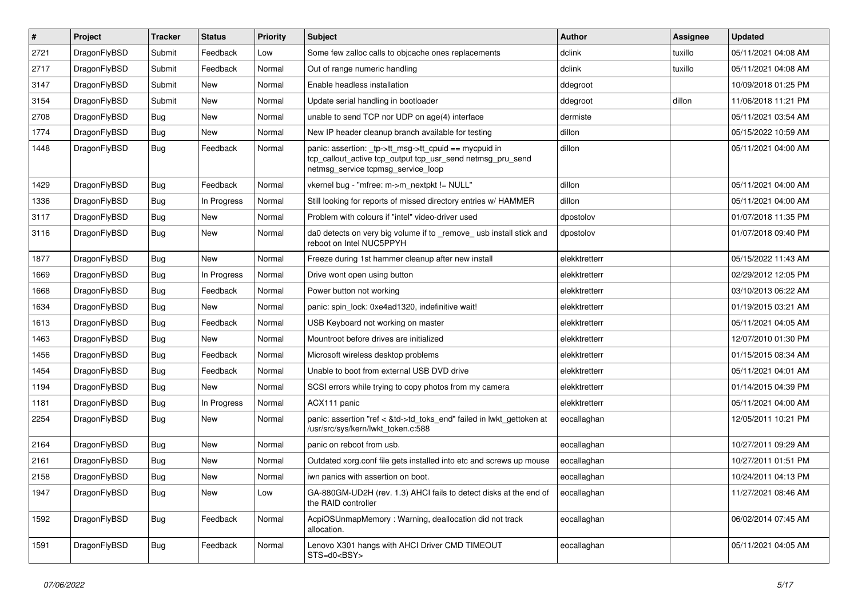| $\vert$ # | Project      | <b>Tracker</b> | <b>Status</b> | <b>Priority</b> | <b>Subject</b>                                                                                                                                            | <b>Author</b> | <b>Assignee</b> | <b>Updated</b>      |
|-----------|--------------|----------------|---------------|-----------------|-----------------------------------------------------------------------------------------------------------------------------------------------------------|---------------|-----------------|---------------------|
| 2721      | DragonFlyBSD | Submit         | Feedback      | Low             | Some few zalloc calls to objcache ones replacements                                                                                                       | dclink        | tuxillo         | 05/11/2021 04:08 AM |
| 2717      | DragonFlyBSD | Submit         | Feedback      | Normal          | Out of range numeric handling                                                                                                                             | dclink        | tuxillo         | 05/11/2021 04:08 AM |
| 3147      | DragonFlyBSD | Submit         | <b>New</b>    | Normal          | Enable headless installation                                                                                                                              | ddegroot      |                 | 10/09/2018 01:25 PM |
| 3154      | DragonFlyBSD | Submit         | <b>New</b>    | Normal          | Update serial handling in bootloader                                                                                                                      | ddegroot      | dillon          | 11/06/2018 11:21 PM |
| 2708      | DragonFlyBSD | <b>Bug</b>     | <b>New</b>    | Normal          | unable to send TCP nor UDP on age(4) interface                                                                                                            | dermiste      |                 | 05/11/2021 03:54 AM |
| 1774      | DragonFlyBSD | <b>Bug</b>     | <b>New</b>    | Normal          | New IP header cleanup branch available for testing                                                                                                        | dillon        |                 | 05/15/2022 10:59 AM |
| 1448      | DragonFlyBSD | Bug            | Feedback      | Normal          | panic: assertion: _tp->tt_msg->tt_cpuid == mycpuid in<br>tcp_callout_active tcp_output tcp_usr_send netmsg_pru_send<br>netmsg_service tcpmsg_service_loop | dillon        |                 | 05/11/2021 04:00 AM |
| 1429      | DragonFlyBSD | Bug            | Feedback      | Normal          | vkernel bug - "mfree: m->m_nextpkt != NULL"                                                                                                               | dillon        |                 | 05/11/2021 04:00 AM |
| 1336      | DragonFlyBSD | <b>Bug</b>     | In Progress   | Normal          | Still looking for reports of missed directory entries w/ HAMMER                                                                                           | dillon        |                 | 05/11/2021 04:00 AM |
| 3117      | DragonFlyBSD | Bug            | <b>New</b>    | Normal          | Problem with colours if "intel" video-driver used                                                                                                         | dpostolov     |                 | 01/07/2018 11:35 PM |
| 3116      | DragonFlyBSD | Bug            | <b>New</b>    | Normal          | da0 detects on very big volume if to _remove_ usb install stick and<br>reboot on Intel NUC5PPYH                                                           | dpostolov     |                 | 01/07/2018 09:40 PM |
| 1877      | DragonFlyBSD | Bug            | <b>New</b>    | Normal          | Freeze during 1st hammer cleanup after new install                                                                                                        | elekktretterr |                 | 05/15/2022 11:43 AM |
| 1669      | DragonFlyBSD | <b>Bug</b>     | In Progress   | Normal          | Drive wont open using button                                                                                                                              | elekktretterr |                 | 02/29/2012 12:05 PM |
| 1668      | DragonFlyBSD | <b>Bug</b>     | Feedback      | Normal          | Power button not working                                                                                                                                  | elekktretterr |                 | 03/10/2013 06:22 AM |
| 1634      | DragonFlyBSD | <b>Bug</b>     | <b>New</b>    | Normal          | panic: spin_lock: 0xe4ad1320, indefinitive wait!                                                                                                          | elekktretterr |                 | 01/19/2015 03:21 AM |
| 1613      | DragonFlyBSD | <b>Bug</b>     | Feedback      | Normal          | USB Keyboard not working on master                                                                                                                        | elekktretterr |                 | 05/11/2021 04:05 AM |
| 1463      | DragonFlyBSD | Bug            | <b>New</b>    | Normal          | Mountroot before drives are initialized                                                                                                                   | elekktretterr |                 | 12/07/2010 01:30 PM |
| 1456      | DragonFlyBSD | <b>Bug</b>     | Feedback      | Normal          | Microsoft wireless desktop problems                                                                                                                       | elekktretterr |                 | 01/15/2015 08:34 AM |
| 1454      | DragonFlyBSD | <b>Bug</b>     | Feedback      | Normal          | Unable to boot from external USB DVD drive                                                                                                                | elekktretterr |                 | 05/11/2021 04:01 AM |
| 1194      | DragonFlyBSD | <b>Bug</b>     | <b>New</b>    | Normal          | SCSI errors while trying to copy photos from my camera                                                                                                    | elekktretterr |                 | 01/14/2015 04:39 PM |
| 1181      | DragonFlyBSD | <b>Bug</b>     | In Progress   | Normal          | ACX111 panic                                                                                                                                              | elekktretterr |                 | 05/11/2021 04:00 AM |
| 2254      | DragonFlyBSD | Bug            | New           | Normal          | panic: assertion "ref < &td->td_toks_end" failed in lwkt_gettoken at<br>/usr/src/sys/kern/lwkt_token.c:588                                                | eocallaghan   |                 | 12/05/2011 10:21 PM |
| 2164      | DragonFlyBSD | <b>Bug</b>     | <b>New</b>    | Normal          | panic on reboot from usb.                                                                                                                                 | eocallaghan   |                 | 10/27/2011 09:29 AM |
| 2161      | DragonFlyBSD | Bug            | <b>New</b>    | Normal          | Outdated xorg.conf file gets installed into etc and screws up mouse                                                                                       | eocallaghan   |                 | 10/27/2011 01:51 PM |
| 2158      | DragonFlyBSD | <b>Bug</b>     | <b>New</b>    | Normal          | iwn panics with assertion on boot.                                                                                                                        | eocallaghan   |                 | 10/24/2011 04:13 PM |
| 1947      | DragonFlyBSD | <b>Bug</b>     | New           | Low             | GA-880GM-UD2H (rev. 1.3) AHCI fails to detect disks at the end of<br>the RAID controller                                                                  | eocallaghan   |                 | 11/27/2021 08:46 AM |
| 1592      | DragonFlyBSD | Bug            | Feedback      | Normal          | AcpiOSUnmapMemory: Warning, deallocation did not track<br>allocation.                                                                                     | eocallaghan   |                 | 06/02/2014 07:45 AM |
| 1591      | DragonFlyBSD | <b>Bug</b>     | Feedback      | Normal          | Lenovo X301 hangs with AHCI Driver CMD TIMEOUT<br>STS=d0 <bsy></bsy>                                                                                      | eocallaghan   |                 | 05/11/2021 04:05 AM |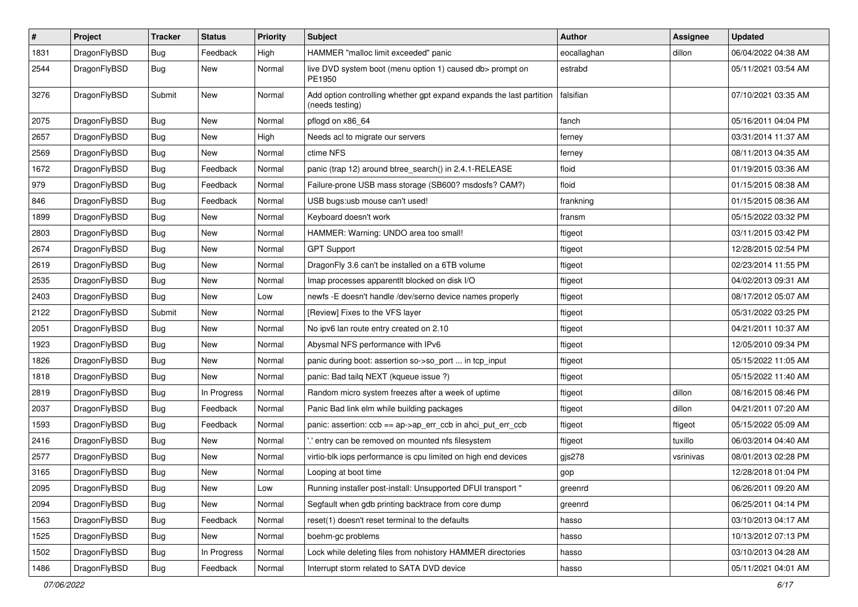| $\pmb{\#}$ | Project      | <b>Tracker</b> | <b>Status</b> | <b>Priority</b> | Subject                                                                                 | Author      | Assignee  | <b>Updated</b>      |
|------------|--------------|----------------|---------------|-----------------|-----------------------------------------------------------------------------------------|-------------|-----------|---------------------|
| 1831       | DragonFlyBSD | Bug            | Feedback      | High            | HAMMER "malloc limit exceeded" panic                                                    | eocallaghan | dillon    | 06/04/2022 04:38 AM |
| 2544       | DragonFlyBSD | Bug            | New           | Normal          | live DVD system boot (menu option 1) caused db> prompt on<br>PE1950                     | estrabd     |           | 05/11/2021 03:54 AM |
| 3276       | DragonFlyBSD | Submit         | <b>New</b>    | Normal          | Add option controlling whether gpt expand expands the last partition<br>(needs testing) | falsifian   |           | 07/10/2021 03:35 AM |
| 2075       | DragonFlyBSD | <b>Bug</b>     | <b>New</b>    | Normal          | pflogd on x86_64                                                                        | fanch       |           | 05/16/2011 04:04 PM |
| 2657       | DragonFlyBSD | Bug            | <b>New</b>    | High            | Needs acl to migrate our servers                                                        | ferney      |           | 03/31/2014 11:37 AM |
| 2569       | DragonFlyBSD | Bug            | New           | Normal          | ctime NFS                                                                               | ferney      |           | 08/11/2013 04:35 AM |
| 1672       | DragonFlyBSD | Bug            | Feedback      | Normal          | panic (trap 12) around btree_search() in 2.4.1-RELEASE                                  | floid       |           | 01/19/2015 03:36 AM |
| 979        | DragonFlyBSD | Bug            | Feedback      | Normal          | Failure-prone USB mass storage (SB600? msdosfs? CAM?)                                   | floid       |           | 01/15/2015 08:38 AM |
| 846        | DragonFlyBSD | Bug            | Feedback      | Normal          | USB bugs:usb mouse can't used!                                                          | frankning   |           | 01/15/2015 08:36 AM |
| 1899       | DragonFlyBSD | <b>Bug</b>     | <b>New</b>    | Normal          | Keyboard doesn't work                                                                   | fransm      |           | 05/15/2022 03:32 PM |
| 2803       | DragonFlyBSD | <b>Bug</b>     | <b>New</b>    | Normal          | HAMMER: Warning: UNDO area too small!                                                   | ftigeot     |           | 03/11/2015 03:42 PM |
| 2674       | DragonFlyBSD | Bug            | New           | Normal          | <b>GPT Support</b>                                                                      | ftigeot     |           | 12/28/2015 02:54 PM |
| 2619       | DragonFlyBSD | Bug            | <b>New</b>    | Normal          | DragonFly 3.6 can't be installed on a 6TB volume                                        | ftigeot     |           | 02/23/2014 11:55 PM |
| 2535       | DragonFlyBSD | Bug            | <b>New</b>    | Normal          | Imap processes apparentlt blocked on disk I/O                                           | ftigeot     |           | 04/02/2013 09:31 AM |
| 2403       | DragonFlyBSD | Bug            | <b>New</b>    | Low             | newfs -E doesn't handle /dev/serno device names properly                                | ftigeot     |           | 08/17/2012 05:07 AM |
| 2122       | DragonFlyBSD | Submit         | <b>New</b>    | Normal          | [Review] Fixes to the VFS layer                                                         | ftigeot     |           | 05/31/2022 03:25 PM |
| 2051       | DragonFlyBSD | <b>Bug</b>     | New           | Normal          | No ipv6 lan route entry created on 2.10                                                 | ftigeot     |           | 04/21/2011 10:37 AM |
| 1923       | DragonFlyBSD | Bug            | <b>New</b>    | Normal          | Abysmal NFS performance with IPv6                                                       | ftigeot     |           | 12/05/2010 09:34 PM |
| 1826       | DragonFlyBSD | Bug            | New           | Normal          | panic during boot: assertion so->so_port  in tcp_input                                  | ftigeot     |           | 05/15/2022 11:05 AM |
| 1818       | DragonFlyBSD | Bug            | New           | Normal          | panic: Bad tailq NEXT (kqueue issue ?)                                                  | ftigeot     |           | 05/15/2022 11:40 AM |
| 2819       | DragonFlyBSD | Bug            | In Progress   | Normal          | Random micro system freezes after a week of uptime                                      | ftigeot     | dillon    | 08/16/2015 08:46 PM |
| 2037       | DragonFlyBSD | Bug            | Feedback      | Normal          | Panic Bad link elm while building packages                                              | ftigeot     | dillon    | 04/21/2011 07:20 AM |
| 1593       | DragonFlyBSD | Bug            | Feedback      | Normal          | panic: assertion: ccb == ap->ap_err_ccb in ahci_put_err_ccb                             | ftigeot     | ftigeot   | 05/15/2022 05:09 AM |
| 2416       | DragonFlyBSD | <b>Bug</b>     | <b>New</b>    | Normal          | ".' entry can be removed on mounted nfs filesystem                                      | ftigeot     | tuxillo   | 06/03/2014 04:40 AM |
| 2577       | DragonFlyBSD | Bug            | New           | Normal          | virtio-blk iops performance is cpu limited on high end devices                          | gjs278      | vsrinivas | 08/01/2013 02:28 PM |
| 3165       | DragonFlyBSD | Bug            | New           | Normal          | Looping at boot time                                                                    | gop         |           | 12/28/2018 01:04 PM |
| 2095       | DragonFlyBSD | <b>Bug</b>     | New           | Low             | Running installer post-install: Unsupported DFUI transport "                            | greenrd     |           | 06/26/2011 09:20 AM |
| 2094       | DragonFlyBSD | <b>Bug</b>     | New           | Normal          | Segfault when gdb printing backtrace from core dump                                     | greenrd     |           | 06/25/2011 04:14 PM |
| 1563       | DragonFlyBSD | Bug            | Feedback      | Normal          | reset(1) doesn't reset terminal to the defaults                                         | hasso       |           | 03/10/2013 04:17 AM |
| 1525       | DragonFlyBSD | Bug            | New           | Normal          | boehm-gc problems                                                                       | hasso       |           | 10/13/2012 07:13 PM |
| 1502       | DragonFlyBSD | <b>Bug</b>     | In Progress   | Normal          | Lock while deleting files from nohistory HAMMER directories                             | hasso       |           | 03/10/2013 04:28 AM |
| 1486       | DragonFlyBSD | <b>Bug</b>     | Feedback      | Normal          | Interrupt storm related to SATA DVD device                                              | hasso       |           | 05/11/2021 04:01 AM |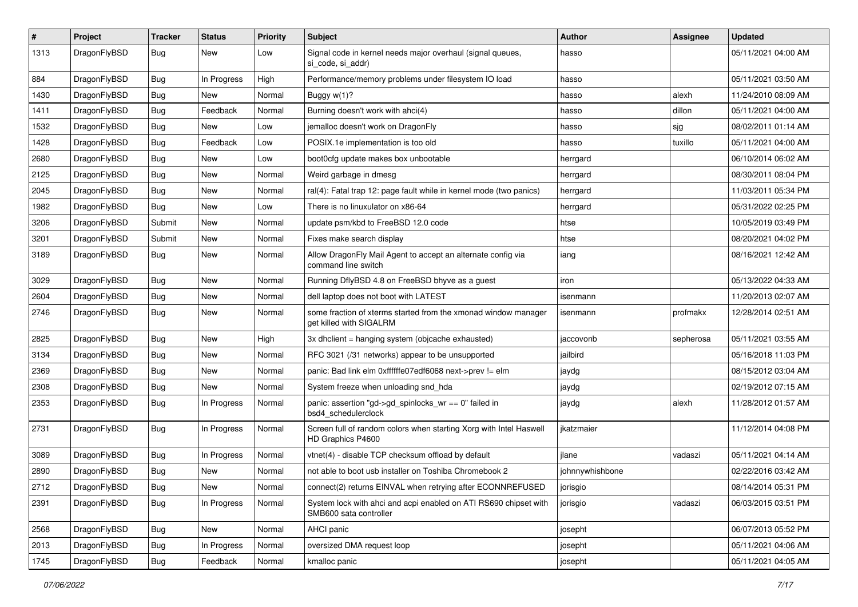| #    | Project      | <b>Tracker</b> | <b>Status</b> | <b>Priority</b> | Subject                                                                                    | Author          | <b>Assignee</b> | <b>Updated</b>      |
|------|--------------|----------------|---------------|-----------------|--------------------------------------------------------------------------------------------|-----------------|-----------------|---------------------|
| 1313 | DragonFlyBSD | Bug            | New           | Low             | Signal code in kernel needs major overhaul (signal queues,<br>si code, si addr)            | hasso           |                 | 05/11/2021 04:00 AM |
| 884  | DragonFlyBSD | Bug            | In Progress   | High            | Performance/memory problems under filesystem IO load                                       | hasso           |                 | 05/11/2021 03:50 AM |
| 1430 | DragonFlyBSD | Bug            | New           | Normal          | Buggy $w(1)$ ?                                                                             | hasso           | alexh           | 11/24/2010 08:09 AM |
| 1411 | DragonFlyBSD | Bug            | Feedback      | Normal          | Burning doesn't work with ahci(4)                                                          | hasso           | dillon          | 05/11/2021 04:00 AM |
| 1532 | DragonFlyBSD | Bug            | New           | Low             | jemalloc doesn't work on DragonFly                                                         | hasso           | sjg             | 08/02/2011 01:14 AM |
| 1428 | DragonFlyBSD | Bug            | Feedback      | Low             | POSIX.1e implementation is too old                                                         | hasso           | tuxillo         | 05/11/2021 04:00 AM |
| 2680 | DragonFlyBSD | Bug            | New           | Low             | boot0cfg update makes box unbootable                                                       | herrgard        |                 | 06/10/2014 06:02 AM |
| 2125 | DragonFlyBSD | Bug            | New           | Normal          | Weird garbage in dmesg                                                                     | herrgard        |                 | 08/30/2011 08:04 PM |
| 2045 | DragonFlyBSD | Bug            | <b>New</b>    | Normal          | ral(4): Fatal trap 12: page fault while in kernel mode (two panics)                        | herrgard        |                 | 11/03/2011 05:34 PM |
| 1982 | DragonFlyBSD | Bug            | New           | Low             | There is no linuxulator on x86-64                                                          | herrgard        |                 | 05/31/2022 02:25 PM |
| 3206 | DragonFlyBSD | Submit         | New           | Normal          | update psm/kbd to FreeBSD 12.0 code                                                        | htse            |                 | 10/05/2019 03:49 PM |
| 3201 | DragonFlyBSD | Submit         | New           | Normal          | Fixes make search display                                                                  | htse            |                 | 08/20/2021 04:02 PM |
| 3189 | DragonFlyBSD | Bug            | New           | Normal          | Allow DragonFly Mail Agent to accept an alternate config via<br>command line switch        | iang            |                 | 08/16/2021 12:42 AM |
| 3029 | DragonFlyBSD | Bug            | New           | Normal          | Running DflyBSD 4.8 on FreeBSD bhyve as a guest                                            | iron            |                 | 05/13/2022 04:33 AM |
| 2604 | DragonFlyBSD | Bug            | New           | Normal          | dell laptop does not boot with LATEST                                                      | isenmann        |                 | 11/20/2013 02:07 AM |
| 2746 | DragonFlyBSD | Bug            | <b>New</b>    | Normal          | some fraction of xterms started from the xmonad window manager<br>get killed with SIGALRM  | isenmann        | profmakx        | 12/28/2014 02:51 AM |
| 2825 | DragonFlyBSD | Bug            | <b>New</b>    | High            | 3x dhclient = hanging system (objcache exhausted)                                          | jaccovonb       | sepherosa       | 05/11/2021 03:55 AM |
| 3134 | DragonFlyBSD | Bug            | <b>New</b>    | Normal          | RFC 3021 (/31 networks) appear to be unsupported                                           | jailbird        |                 | 05/16/2018 11:03 PM |
| 2369 | DragonFlyBSD | Bug            | New           | Normal          | panic: Bad link elm 0xffffffe07edf6068 next->prev != elm                                   | jaydg           |                 | 08/15/2012 03:04 AM |
| 2308 | DragonFlyBSD | Bug            | New           | Normal          | System freeze when unloading snd_hda                                                       | jaydg           |                 | 02/19/2012 07:15 AM |
| 2353 | DragonFlyBSD | Bug            | In Progress   | Normal          | panic: assertion "gd->gd_spinlocks_wr == 0" failed in<br>bsd4_schedulerclock               | jaydg           | alexh           | 11/28/2012 01:57 AM |
| 2731 | DragonFlyBSD | <b>Bug</b>     | In Progress   | Normal          | Screen full of random colors when starting Xorg with Intel Haswell<br>HD Graphics P4600    | jkatzmaier      |                 | 11/12/2014 04:08 PM |
| 3089 | DragonFlyBSD | Bug            | In Progress   | Normal          | vtnet(4) - disable TCP checksum offload by default                                         | jlane           | vadaszi         | 05/11/2021 04:14 AM |
| 2890 | DragonFlyBSD | <b>Bug</b>     | New           | Normal          | not able to boot usb installer on Toshiba Chromebook 2                                     | johnnywhishbone |                 | 02/22/2016 03:42 AM |
| 2712 | DragonFlyBSD | <b>Bug</b>     | New           | Normal          | connect(2) returns EINVAL when retrying after ECONNREFUSED                                 | jorisgio        |                 | 08/14/2014 05:31 PM |
| 2391 | DragonFlyBSD | <b>Bug</b>     | In Progress   | Normal          | System lock with ahci and acpi enabled on ATI RS690 chipset with<br>SMB600 sata controller | jorisgio        | vadaszi         | 06/03/2015 03:51 PM |
| 2568 | DragonFlyBSD | <b>Bug</b>     | New           | Normal          | AHCI panic                                                                                 | josepht         |                 | 06/07/2013 05:52 PM |
| 2013 | DragonFlyBSD | Bug            | In Progress   | Normal          | oversized DMA request loop                                                                 | josepht         |                 | 05/11/2021 04:06 AM |
| 1745 | DragonFlyBSD | <b>Bug</b>     | Feedback      | Normal          | kmalloc panic                                                                              | josepht         |                 | 05/11/2021 04:05 AM |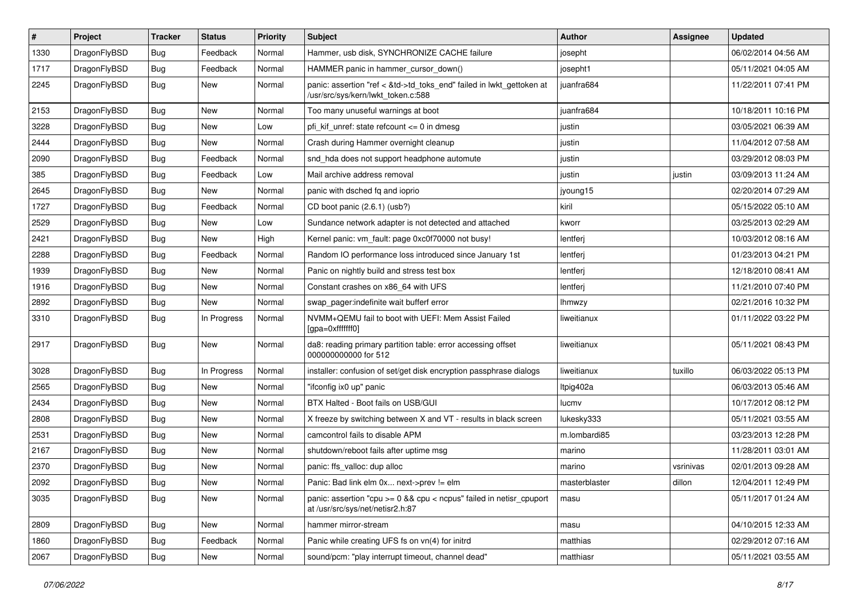| $\vert$ # | Project      | <b>Tracker</b> | <b>Status</b> | <b>Priority</b> | Subject                                                                                                    | Author        | Assignee  | <b>Updated</b>      |
|-----------|--------------|----------------|---------------|-----------------|------------------------------------------------------------------------------------------------------------|---------------|-----------|---------------------|
| 1330      | DragonFlyBSD | <b>Bug</b>     | Feedback      | Normal          | Hammer, usb disk, SYNCHRONIZE CACHE failure                                                                | josepht       |           | 06/02/2014 04:56 AM |
| 1717      | DragonFlyBSD | <b>Bug</b>     | Feedback      | Normal          | HAMMER panic in hammer_cursor_down()                                                                       | josepht1      |           | 05/11/2021 04:05 AM |
| 2245      | DragonFlyBSD | <b>Bug</b>     | New           | Normal          | panic: assertion "ref < &td->td_toks_end" failed in lwkt_gettoken at<br>/usr/src/sys/kern/lwkt_token.c:588 | juanfra684    |           | 11/22/2011 07:41 PM |
| 2153      | DragonFlyBSD | <b>Bug</b>     | <b>New</b>    | Normal          | Too many unuseful warnings at boot                                                                         | juanfra684    |           | 10/18/2011 10:16 PM |
| 3228      | DragonFlyBSD | <b>Bug</b>     | New           | Low             | pfi kif unref: state refcount $\leq$ 0 in dmesg                                                            | justin        |           | 03/05/2021 06:39 AM |
| 2444      | DragonFlyBSD | Bug            | <b>New</b>    | Normal          | Crash during Hammer overnight cleanup                                                                      | justin        |           | 11/04/2012 07:58 AM |
| 2090      | DragonFlyBSD | <b>Bug</b>     | Feedback      | Normal          | snd_hda does not support headphone automute                                                                | justin        |           | 03/29/2012 08:03 PM |
| 385       | DragonFlyBSD | <b>Bug</b>     | Feedback      | Low             | Mail archive address removal                                                                               | justin        | justin    | 03/09/2013 11:24 AM |
| 2645      | DragonFlyBSD | <b>Bug</b>     | New           | Normal          | panic with dsched fq and ioprio                                                                            | jyoung15      |           | 02/20/2014 07:29 AM |
| 1727      | DragonFlyBSD | <b>Bug</b>     | Feedback      | Normal          | CD boot panic (2.6.1) (usb?)                                                                               | kiril         |           | 05/15/2022 05:10 AM |
| 2529      | DragonFlyBSD | Bug            | New           | Low             | Sundance network adapter is not detected and attached                                                      | kworr         |           | 03/25/2013 02:29 AM |
| 2421      | DragonFlyBSD | Bug            | New           | High            | Kernel panic: vm_fault: page 0xc0f70000 not busy!                                                          | lentferj      |           | 10/03/2012 08:16 AM |
| 2288      | DragonFlyBSD | Bug            | Feedback      | Normal          | Random IO performance loss introduced since January 1st                                                    | lentferj      |           | 01/23/2013 04:21 PM |
| 1939      | DragonFlyBSD | <b>Bug</b>     | New           | Normal          | Panic on nightly build and stress test box                                                                 | lentferj      |           | 12/18/2010 08:41 AM |
| 1916      | DragonFlyBSD | <b>Bug</b>     | New           | Normal          | Constant crashes on x86_64 with UFS                                                                        | lentferj      |           | 11/21/2010 07:40 PM |
| 2892      | DragonFlyBSD | Bug            | New           | Normal          | swap pager:indefinite wait bufferf error                                                                   | <b>Ihmwzy</b> |           | 02/21/2016 10:32 PM |
| 3310      | DragonFlyBSD | Bug            | In Progress   | Normal          | NVMM+QEMU fail to boot with UEFI: Mem Assist Failed<br>[gpa=0xfffffff0]                                    | liweitianux   |           | 01/11/2022 03:22 PM |
| 2917      | DragonFlyBSD | Bug            | New           | Normal          | da8: reading primary partition table: error accessing offset<br>000000000000 for 512                       | liweitianux   |           | 05/11/2021 08:43 PM |
| 3028      | DragonFlyBSD | <b>Bug</b>     | In Progress   | Normal          | installer: confusion of set/get disk encryption passphrase dialogs                                         | liweitianux   | tuxillo   | 06/03/2022 05:13 PM |
| 2565      | DragonFlyBSD | <b>Bug</b>     | <b>New</b>    | Normal          | "ifconfig ix0 up" panic                                                                                    | Itpig402a     |           | 06/03/2013 05:46 AM |
| 2434      | DragonFlyBSD | <b>Bug</b>     | New           | Normal          | BTX Halted - Boot fails on USB/GUI                                                                         | lucmv         |           | 10/17/2012 08:12 PM |
| 2808      | DragonFlyBSD | Bug            | New           | Normal          | X freeze by switching between X and VT - results in black screen                                           | lukesky333    |           | 05/11/2021 03:55 AM |
| 2531      | DragonFlyBSD | Bug            | <b>New</b>    | Normal          | camcontrol fails to disable APM                                                                            | m.lombardi85  |           | 03/23/2013 12:28 PM |
| 2167      | DragonFlyBSD | <b>Bug</b>     | New           | Normal          | shutdown/reboot fails after uptime msg                                                                     | marino        |           | 11/28/2011 03:01 AM |
| 2370      | DragonFlyBSD | Bug            | New           | Normal          | panic: ffs_valloc: dup alloc                                                                               | marino        | vsrinivas | 02/01/2013 09:28 AM |
| 2092      | DragonFlyBSD | Bug            | New           | Normal          | Panic: Bad link elm 0x next->prev $!=$ elm                                                                 | masterblaster | dillon    | 12/04/2011 12:49 PM |
| 3035      | DragonFlyBSD | Bug            | New           | Normal          | panic: assertion "cpu >= 0 && cpu < ncpus" failed in netisr_cpuport<br>at /usr/src/sys/net/netisr2.h:87    | masu          |           | 05/11/2017 01:24 AM |
| 2809      | DragonFlyBSD | <b>Bug</b>     | New           | Normal          | hammer mirror-stream                                                                                       | masu          |           | 04/10/2015 12:33 AM |
| 1860      | DragonFlyBSD | <b>Bug</b>     | Feedback      | Normal          | Panic while creating UFS fs on vn(4) for initrd                                                            | matthias      |           | 02/29/2012 07:16 AM |
| 2067      | DragonFlyBSD | <b>Bug</b>     | New           | Normal          | sound/pcm: "play interrupt timeout, channel dead"                                                          | matthiasr     |           | 05/11/2021 03:55 AM |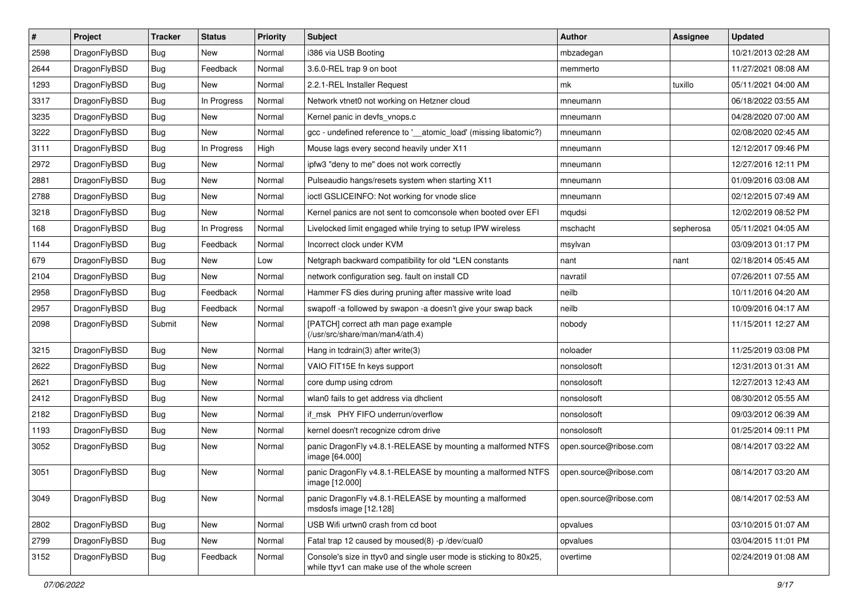| $\sharp$ | Project      | <b>Tracker</b> | <b>Status</b> | <b>Priority</b> | Subject                                                                                                            | <b>Author</b>          | Assignee  | <b>Updated</b>      |
|----------|--------------|----------------|---------------|-----------------|--------------------------------------------------------------------------------------------------------------------|------------------------|-----------|---------------------|
| 2598     | DragonFlyBSD | <b>Bug</b>     | New           | Normal          | i386 via USB Booting                                                                                               | mbzadegan              |           | 10/21/2013 02:28 AM |
| 2644     | DragonFlyBSD | <b>Bug</b>     | Feedback      | Normal          | 3.6.0-REL trap 9 on boot                                                                                           | memmerto               |           | 11/27/2021 08:08 AM |
| 1293     | DragonFlyBSD | <b>Bug</b>     | New           | Normal          | 2.2.1-REL Installer Request                                                                                        | mk                     | tuxillo   | 05/11/2021 04:00 AM |
| 3317     | DragonFlyBSD | <b>Bug</b>     | In Progress   | Normal          | Network vtnet0 not working on Hetzner cloud                                                                        | mneumann               |           | 06/18/2022 03:55 AM |
| 3235     | DragonFlyBSD | Bug            | <b>New</b>    | Normal          | Kernel panic in devfs vnops.c                                                                                      | mneumann               |           | 04/28/2020 07:00 AM |
| 3222     | DragonFlyBSD | <b>Bug</b>     | New           | Normal          | gcc - undefined reference to ' atomic load' (missing libatomic?)                                                   | mneumann               |           | 02/08/2020 02:45 AM |
| 3111     | DragonFlyBSD | <b>Bug</b>     | In Progress   | High            | Mouse lags every second heavily under X11                                                                          | mneumann               |           | 12/12/2017 09:46 PM |
| 2972     | DragonFlyBSD | <b>Bug</b>     | New           | Normal          | ipfw3 "deny to me" does not work correctly                                                                         | mneumann               |           | 12/27/2016 12:11 PM |
| 2881     | DragonFlyBSD | <b>Bug</b>     | <b>New</b>    | Normal          | Pulseaudio hangs/resets system when starting X11                                                                   | mneumann               |           | 01/09/2016 03:08 AM |
| 2788     | DragonFlyBSD | <b>Bug</b>     | New           | Normal          | ioctl GSLICEINFO: Not working for vnode slice                                                                      | mneumann               |           | 02/12/2015 07:49 AM |
| 3218     | DragonFlyBSD | <b>Bug</b>     | New           | Normal          | Kernel panics are not sent to comconsole when booted over EFI                                                      | mqudsi                 |           | 12/02/2019 08:52 PM |
| 168      | DragonFlyBSD | Bug            | In Progress   | Normal          | Livelocked limit engaged while trying to setup IPW wireless                                                        | mschacht               | sepherosa | 05/11/2021 04:05 AM |
| 1144     | DragonFlyBSD | <b>Bug</b>     | Feedback      | Normal          | Incorrect clock under KVM                                                                                          | msylvan                |           | 03/09/2013 01:17 PM |
| 679      | DragonFlyBSD | <b>Bug</b>     | New           | Low             | Netgraph backward compatibility for old *LEN constants                                                             | nant                   | nant      | 02/18/2014 05:45 AM |
| 2104     | DragonFlyBSD | <b>Bug</b>     | New           | Normal          | network configuration seg. fault on install CD                                                                     | navratil               |           | 07/26/2011 07:55 AM |
| 2958     | DragonFlyBSD | Bug            | Feedback      | Normal          | Hammer FS dies during pruning after massive write load                                                             | neilb                  |           | 10/11/2016 04:20 AM |
| 2957     | DragonFlyBSD | <b>Bug</b>     | Feedback      | Normal          | swapoff -a followed by swapon -a doesn't give your swap back                                                       | neilb                  |           | 10/09/2016 04:17 AM |
| 2098     | DragonFlyBSD | Submit         | New           | Normal          | [PATCH] correct ath man page example<br>(/usr/src/share/man/man4/ath.4)                                            | nobody                 |           | 11/15/2011 12:27 AM |
| 3215     | DragonFlyBSD | <b>Bug</b>     | <b>New</b>    | Normal          | Hang in tcdrain(3) after write(3)                                                                                  | noloader               |           | 11/25/2019 03:08 PM |
| 2622     | DragonFlyBSD | <b>Bug</b>     | New           | Normal          | VAIO FIT15E fn keys support                                                                                        | nonsolosoft            |           | 12/31/2013 01:31 AM |
| 2621     | DragonFlyBSD | <b>Bug</b>     | <b>New</b>    | Normal          | core dump using cdrom                                                                                              | nonsolosoft            |           | 12/27/2013 12:43 AM |
| 2412     | DragonFlyBSD | <b>Bug</b>     | <b>New</b>    | Normal          | wlan0 fails to get address via dhclient                                                                            | nonsolosoft            |           | 08/30/2012 05:55 AM |
| 2182     | DragonFlyBSD | Bug            | New           | Normal          | if msk PHY FIFO underrun/overflow                                                                                  | nonsolosoft            |           | 09/03/2012 06:39 AM |
| 1193     | DragonFlyBSD | <b>Bug</b>     | New           | Normal          | kernel doesn't recognize cdrom drive                                                                               | nonsolosoft            |           | 01/25/2014 09:11 PM |
| 3052     | DragonFlyBSD | <b>Bug</b>     | New           | Normal          | panic DragonFly v4.8.1-RELEASE by mounting a malformed NTFS<br>image [64.000]                                      | open.source@ribose.com |           | 08/14/2017 03:22 AM |
| 3051     | DragonFlyBSD | <b>Bug</b>     | <b>New</b>    | Normal          | panic DragonFly v4.8.1-RELEASE by mounting a malformed NTFS<br>image [12.000]                                      | open.source@ribose.com |           | 08/14/2017 03:20 AM |
| 3049     | DragonFlyBSD | <b>Bug</b>     | New           | Normal          | panic DragonFly v4.8.1-RELEASE by mounting a malformed<br>msdosfs image [12.128]                                   | open.source@ribose.com |           | 08/14/2017 02:53 AM |
| 2802     | DragonFlyBSD | Bug            | New           | Normal          | USB Wifi urtwn0 crash from cd boot                                                                                 | opvalues               |           | 03/10/2015 01:07 AM |
| 2799     | DragonFlyBSD | <b>Bug</b>     | New           | Normal          | Fatal trap 12 caused by moused(8) -p /dev/cual0                                                                    | opvalues               |           | 03/04/2015 11:01 PM |
| 3152     | DragonFlyBSD | <b>Bug</b>     | Feedback      | Normal          | Console's size in ttyv0 and single user mode is sticking to 80x25,<br>while ttyv1 can make use of the whole screen | overtime               |           | 02/24/2019 01:08 AM |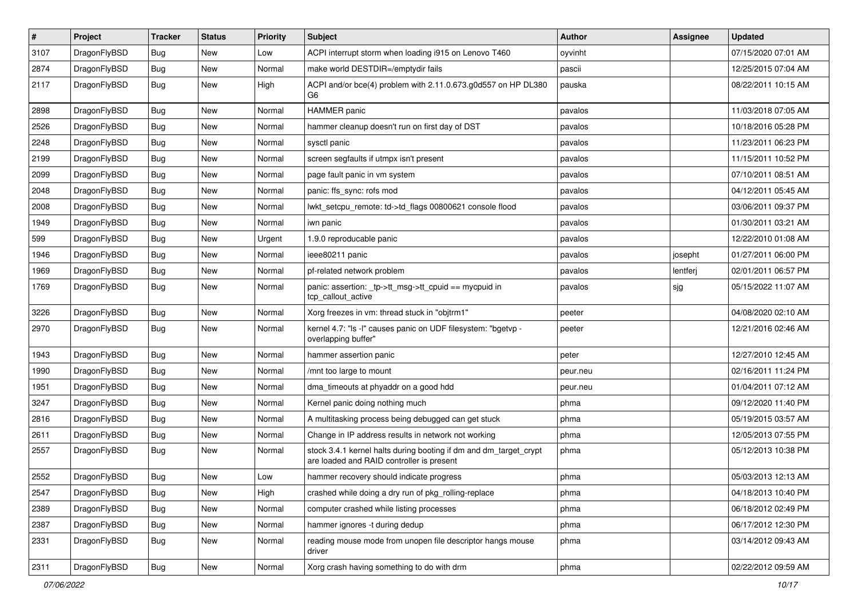| $\vert$ # | Project      | <b>Tracker</b> | <b>Status</b> | <b>Priority</b> | Subject                                                                                                        | Author   | <b>Assignee</b> | <b>Updated</b>      |
|-----------|--------------|----------------|---------------|-----------------|----------------------------------------------------------------------------------------------------------------|----------|-----------------|---------------------|
| 3107      | DragonFlyBSD | Bug            | New           | Low             | ACPI interrupt storm when loading i915 on Lenovo T460                                                          | oyvinht  |                 | 07/15/2020 07:01 AM |
| 2874      | DragonFlyBSD | Bug            | <b>New</b>    | Normal          | make world DESTDIR=/emptydir fails                                                                             | pascii   |                 | 12/25/2015 07:04 AM |
| 2117      | DragonFlyBSD | Bug            | New           | High            | ACPI and/or bce(4) problem with 2.11.0.673.g0d557 on HP DL380<br>G6                                            | pauska   |                 | 08/22/2011 10:15 AM |
| 2898      | DragonFlyBSD | Bug            | <b>New</b>    | Normal          | <b>HAMMER</b> panic                                                                                            | pavalos  |                 | 11/03/2018 07:05 AM |
| 2526      | DragonFlyBSD | Bug            | New           | Normal          | hammer cleanup doesn't run on first day of DST                                                                 | pavalos  |                 | 10/18/2016 05:28 PM |
| 2248      | DragonFlyBSD | Bug            | <b>New</b>    | Normal          | sysctl panic                                                                                                   | pavalos  |                 | 11/23/2011 06:23 PM |
| 2199      | DragonFlyBSD | Bug            | New           | Normal          | screen segfaults if utmpx isn't present                                                                        | pavalos  |                 | 11/15/2011 10:52 PM |
| 2099      | DragonFlyBSD | Bug            | <b>New</b>    | Normal          | page fault panic in vm system                                                                                  | pavalos  |                 | 07/10/2011 08:51 AM |
| 2048      | DragonFlyBSD | Bug            | <b>New</b>    | Normal          | panic: ffs_sync: rofs mod                                                                                      | pavalos  |                 | 04/12/2011 05:45 AM |
| 2008      | DragonFlyBSD | <b>Bug</b>     | <b>New</b>    | Normal          | lwkt setcpu remote: td->td flags 00800621 console flood                                                        | pavalos  |                 | 03/06/2011 09:37 PM |
| 1949      | DragonFlyBSD | Bug            | <b>New</b>    | Normal          | iwn panic                                                                                                      | pavalos  |                 | 01/30/2011 03:21 AM |
| 599       | DragonFlyBSD | Bug            | New           | Urgent          | 1.9.0 reproducable panic                                                                                       | pavalos  |                 | 12/22/2010 01:08 AM |
| 1946      | DragonFlyBSD | Bug            | New           | Normal          | ieee80211 panic                                                                                                | pavalos  | josepht         | 01/27/2011 06:00 PM |
| 1969      | DragonFlyBSD | Bug            | New           | Normal          | pf-related network problem                                                                                     | pavalos  | lentferj        | 02/01/2011 06:57 PM |
| 1769      | DragonFlyBSD | Bug            | New           | Normal          | panic: assertion: _tp->tt_msg->tt_cpuid == mycpuid in<br>tcp_callout_active                                    | pavalos  | sjg             | 05/15/2022 11:07 AM |
| 3226      | DragonFlyBSD | Bug            | New           | Normal          | Xorg freezes in vm: thread stuck in "objtrm1"                                                                  | peeter   |                 | 04/08/2020 02:10 AM |
| 2970      | DragonFlyBSD | Bug            | New           | Normal          | kernel 4.7: "Is -I" causes panic on UDF filesystem: "bgetvp -<br>overlapping buffer"                           | peeter   |                 | 12/21/2016 02:46 AM |
| 1943      | DragonFlyBSD | Bug            | <b>New</b>    | Normal          | hammer assertion panic                                                                                         | peter    |                 | 12/27/2010 12:45 AM |
| 1990      | DragonFlyBSD | Bug            | New           | Normal          | /mnt too large to mount                                                                                        | peur.neu |                 | 02/16/2011 11:24 PM |
| 1951      | DragonFlyBSD | Bug            | <b>New</b>    | Normal          | dma timeouts at phyaddr on a good hdd                                                                          | peur.neu |                 | 01/04/2011 07:12 AM |
| 3247      | DragonFlyBSD | Bug            | <b>New</b>    | Normal          | Kernel panic doing nothing much                                                                                | phma     |                 | 09/12/2020 11:40 PM |
| 2816      | DragonFlyBSD | <b>Bug</b>     | <b>New</b>    | Normal          | A multitasking process being debugged can get stuck                                                            | phma     |                 | 05/19/2015 03:57 AM |
| 2611      | DragonFlyBSD | Bug            | <b>New</b>    | Normal          | Change in IP address results in network not working                                                            | phma     |                 | 12/05/2013 07:55 PM |
| 2557      | DragonFlyBSD | Bug            | New           | Normal          | stock 3.4.1 kernel halts during booting if dm and dm_target_crypt<br>are loaded and RAID controller is present | phma     |                 | 05/12/2013 10:38 PM |
| 2552      | DragonFlyBSD | Bug            | New           | Low             | hammer recovery should indicate progress                                                                       | phma     |                 | 05/03/2013 12:13 AM |
| 2547      | DragonFlyBSD | <b>Bug</b>     | New           | High            | crashed while doing a dry run of pkg_rolling-replace                                                           | phma     |                 | 04/18/2013 10:40 PM |
| 2389      | DragonFlyBSD | Bug            | New           | Normal          | computer crashed while listing processes                                                                       | phma     |                 | 06/18/2012 02:49 PM |
| 2387      | DragonFlyBSD | <b>Bug</b>     | New           | Normal          | hammer ignores -t during dedup                                                                                 | phma     |                 | 06/17/2012 12:30 PM |
| 2331      | DragonFlyBSD | Bug            | New           | Normal          | reading mouse mode from unopen file descriptor hangs mouse<br>driver                                           | phma     |                 | 03/14/2012 09:43 AM |
| 2311      | DragonFlyBSD | <b>Bug</b>     | New           | Normal          | Xorg crash having something to do with drm                                                                     | phma     |                 | 02/22/2012 09:59 AM |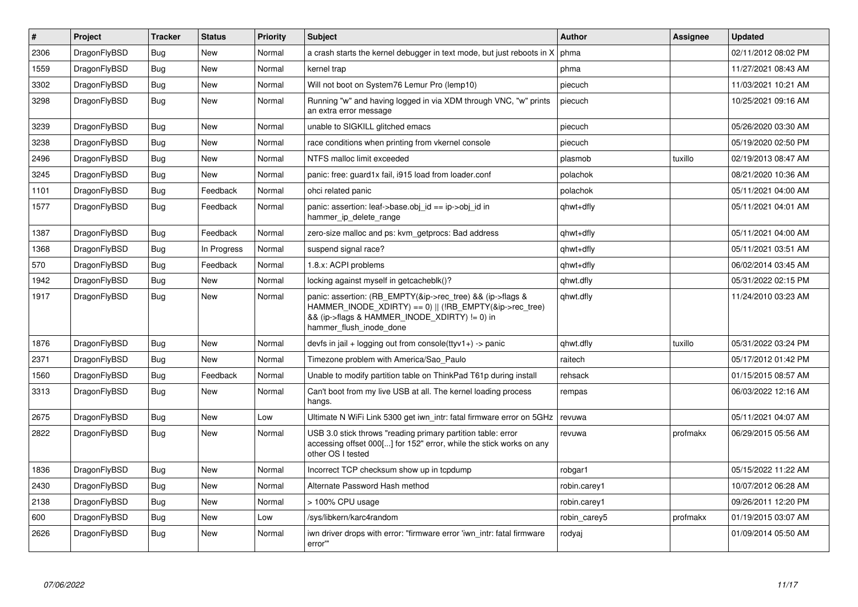| $\vert$ # | Project      | <b>Tracker</b> | <b>Status</b> | <b>Priority</b> | <b>Subject</b>                                                                                                                                                                                    | <b>Author</b> | Assignee | <b>Updated</b>      |
|-----------|--------------|----------------|---------------|-----------------|---------------------------------------------------------------------------------------------------------------------------------------------------------------------------------------------------|---------------|----------|---------------------|
| 2306      | DragonFlyBSD | <b>Bug</b>     | <b>New</b>    | Normal          | a crash starts the kernel debugger in text mode, but just reboots in X                                                                                                                            | phma          |          | 02/11/2012 08:02 PM |
| 1559      | DragonFlyBSD | Bug            | <b>New</b>    | Normal          | kernel trap                                                                                                                                                                                       | phma          |          | 11/27/2021 08:43 AM |
| 3302      | DragonFlyBSD | Bug            | <b>New</b>    | Normal          | Will not boot on System76 Lemur Pro (lemp10)                                                                                                                                                      | piecuch       |          | 11/03/2021 10:21 AM |
| 3298      | DragonFlyBSD | <b>Bug</b>     | <b>New</b>    | Normal          | Running "w" and having logged in via XDM through VNC, "w" prints<br>an extra error message                                                                                                        | piecuch       |          | 10/25/2021 09:16 AM |
| 3239      | DragonFlyBSD | Bug            | <b>New</b>    | Normal          | unable to SIGKILL glitched emacs                                                                                                                                                                  | piecuch       |          | 05/26/2020 03:30 AM |
| 3238      | DragonFlyBSD | <b>Bug</b>     | <b>New</b>    | Normal          | race conditions when printing from vkernel console                                                                                                                                                | piecuch       |          | 05/19/2020 02:50 PM |
| 2496      | DragonFlyBSD | <b>Bug</b>     | <b>New</b>    | Normal          | NTFS malloc limit exceeded                                                                                                                                                                        | plasmob       | tuxillo  | 02/19/2013 08:47 AM |
| 3245      | DragonFlyBSD | Bug            | <b>New</b>    | Normal          | panic: free: guard1x fail, i915 load from loader.conf                                                                                                                                             | polachok      |          | 08/21/2020 10:36 AM |
| 1101      | DragonFlyBSD | <b>Bug</b>     | Feedback      | Normal          | ohci related panic                                                                                                                                                                                | polachok      |          | 05/11/2021 04:00 AM |
| 1577      | DragonFlyBSD | Bug            | Feedback      | Normal          | panic: assertion: leaf->base.obj id == ip->obj id in<br>hammer_ip_delete_range                                                                                                                    | qhwt+dfly     |          | 05/11/2021 04:01 AM |
| 1387      | DragonFlyBSD | <b>Bug</b>     | Feedback      | Normal          | zero-size malloc and ps: kvm getprocs: Bad address                                                                                                                                                | qhwt+dfly     |          | 05/11/2021 04:00 AM |
| 1368      | DragonFlyBSD | <b>Bug</b>     | In Progress   | Normal          | suspend signal race?                                                                                                                                                                              | qhwt+dfly     |          | 05/11/2021 03:51 AM |
| 570       | DragonFlyBSD | <b>Bug</b>     | Feedback      | Normal          | 1.8.x: ACPI problems                                                                                                                                                                              | qhwt+dfly     |          | 06/02/2014 03:45 AM |
| 1942      | DragonFlyBSD | Bug            | <b>New</b>    | Normal          | locking against myself in getcacheblk()?                                                                                                                                                          | qhwt.dfly     |          | 05/31/2022 02:15 PM |
| 1917      | DragonFlyBSD | <b>Bug</b>     | <b>New</b>    | Normal          | panic: assertion: (RB_EMPTY(&ip->rec_tree) && (ip->flags &<br>HAMMER_INODE_XDIRTY) == 0)    (!RB_EMPTY(&ip->rec_tree)<br>&& (ip->flags & HAMMER INODE XDIRTY) != 0) in<br>hammer flush inode done | qhwt.dfly     |          | 11/24/2010 03:23 AM |
| 1876      | DragonFlyBSD | <b>Bug</b>     | <b>New</b>    | Normal          | devfs in jail + logging out from console(ttyv1+) -> panic                                                                                                                                         | qhwt.dfly     | tuxillo  | 05/31/2022 03:24 PM |
| 2371      | DragonFlyBSD | <b>Bug</b>     | <b>New</b>    | Normal          | Timezone problem with America/Sao Paulo                                                                                                                                                           | raitech       |          | 05/17/2012 01:42 PM |
| 1560      | DragonFlyBSD | Bug            | Feedback      | Normal          | Unable to modify partition table on ThinkPad T61p during install                                                                                                                                  | rehsack       |          | 01/15/2015 08:57 AM |
| 3313      | DragonFlyBSD | <b>Bug</b>     | <b>New</b>    | Normal          | Can't boot from my live USB at all. The kernel loading process<br>hangs.                                                                                                                          | rempas        |          | 06/03/2022 12:16 AM |
| 2675      | DragonFlyBSD | Bug            | <b>New</b>    | Low             | Ultimate N WiFi Link 5300 get iwn intr: fatal firmware error on 5GHz                                                                                                                              | revuwa        |          | 05/11/2021 04:07 AM |
| 2822      | DragonFlyBSD | <b>Bug</b>     | <b>New</b>    | Normal          | USB 3.0 stick throws "reading primary partition table: error<br>accessing offset 000[] for 152" error, while the stick works on any<br>other OS I tested                                          | revuwa        | profmakx | 06/29/2015 05:56 AM |
| 1836      | DragonFlyBSD | Bug            | <b>New</b>    | Normal          | Incorrect TCP checksum show up in tcpdump                                                                                                                                                         | robgar1       |          | 05/15/2022 11:22 AM |
| 2430      | DragonFlyBSD | Bug            | <b>New</b>    | Normal          | Alternate Password Hash method                                                                                                                                                                    | robin.carey1  |          | 10/07/2012 06:28 AM |
| 2138      | DragonFlyBSD | <b>Bug</b>     | <b>New</b>    | Normal          | > 100% CPU usage                                                                                                                                                                                  | robin.carey1  |          | 09/26/2011 12:20 PM |
| 600       | DragonFlyBSD | <b>Bug</b>     | <b>New</b>    | Low             | /sys/libkern/karc4random                                                                                                                                                                          | robin carey5  | profmakx | 01/19/2015 03:07 AM |
| 2626      | DragonFlyBSD | Bug            | <b>New</b>    | Normal          | iwn driver drops with error: "firmware error 'iwn intr: fatal firmware<br>error""                                                                                                                 | rodyaj        |          | 01/09/2014 05:50 AM |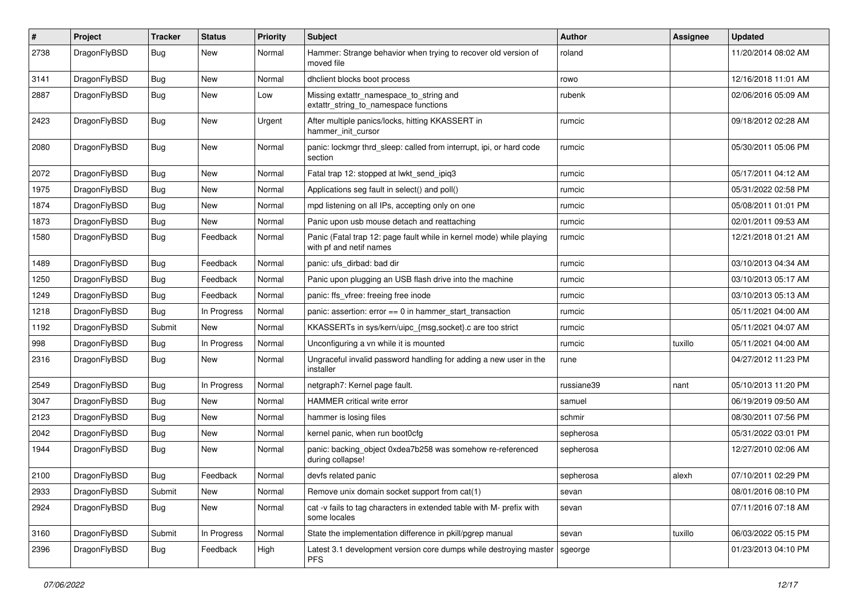| #    | Project      | <b>Tracker</b> | <b>Status</b> | <b>Priority</b> | Subject                                                                                         | Author     | Assignee | <b>Updated</b>      |
|------|--------------|----------------|---------------|-----------------|-------------------------------------------------------------------------------------------------|------------|----------|---------------------|
| 2738 | DragonFlyBSD | <b>Bug</b>     | New           | Normal          | Hammer: Strange behavior when trying to recover old version of<br>moved file                    | roland     |          | 11/20/2014 08:02 AM |
| 3141 | DragonFlyBSD | <b>Bug</b>     | New           | Normal          | dhclient blocks boot process                                                                    | rowo       |          | 12/16/2018 11:01 AM |
| 2887 | DragonFlyBSD | <b>Bug</b>     | <b>New</b>    | Low             | Missing extattr_namespace_to_string and<br>extattr_string_to_namespace functions                | rubenk     |          | 02/06/2016 05:09 AM |
| 2423 | DragonFlyBSD | <b>Bug</b>     | New           | Urgent          | After multiple panics/locks, hitting KKASSERT in<br>hammer_init_cursor                          | rumcic     |          | 09/18/2012 02:28 AM |
| 2080 | DragonFlyBSD | <b>Bug</b>     | New           | Normal          | panic: lockmgr thrd_sleep: called from interrupt, ipi, or hard code<br>section                  | rumcic     |          | 05/30/2011 05:06 PM |
| 2072 | DragonFlyBSD | Bug            | <b>New</b>    | Normal          | Fatal trap 12: stopped at lwkt_send_ipiq3                                                       | rumcic     |          | 05/17/2011 04:12 AM |
| 1975 | DragonFlyBSD | Bug            | New           | Normal          | Applications seg fault in select() and poll()                                                   | rumcic     |          | 05/31/2022 02:58 PM |
| 1874 | DragonFlyBSD | Bug            | New           | Normal          | mpd listening on all IPs, accepting only on one                                                 | rumcic     |          | 05/08/2011 01:01 PM |
| 1873 | DragonFlyBSD | Bug            | New           | Normal          | Panic upon usb mouse detach and reattaching                                                     | rumcic     |          | 02/01/2011 09:53 AM |
| 1580 | DragonFlyBSD | <b>Bug</b>     | Feedback      | Normal          | Panic (Fatal trap 12: page fault while in kernel mode) while playing<br>with pf and netif names | rumcic     |          | 12/21/2018 01:21 AM |
| 1489 | DragonFlyBSD | Bug            | Feedback      | Normal          | panic: ufs_dirbad: bad dir                                                                      | rumcic     |          | 03/10/2013 04:34 AM |
| 1250 | DragonFlyBSD | Bug            | Feedback      | Normal          | Panic upon plugging an USB flash drive into the machine                                         | rumcic     |          | 03/10/2013 05:17 AM |
| 1249 | DragonFlyBSD | Bug            | Feedback      | Normal          | panic: ffs vfree: freeing free inode                                                            | rumcic     |          | 03/10/2013 05:13 AM |
| 1218 | DragonFlyBSD | Bug            | In Progress   | Normal          | panic: assertion: $error == 0$ in hammer start transaction                                      | rumcic     |          | 05/11/2021 04:00 AM |
| 1192 | DragonFlyBSD | Submit         | <b>New</b>    | Normal          | KKASSERTs in sys/kern/uipc_{msg,socket}.c are too strict                                        | rumcic     |          | 05/11/2021 04:07 AM |
| 998  | DragonFlyBSD | Bug            | In Progress   | Normal          | Unconfiguring a vn while it is mounted                                                          | rumcic     | tuxillo  | 05/11/2021 04:00 AM |
| 2316 | DragonFlyBSD | Bug            | <b>New</b>    | Normal          | Ungraceful invalid password handling for adding a new user in the<br>installer                  | rune       |          | 04/27/2012 11:23 PM |
| 2549 | DragonFlyBSD | Bug            | In Progress   | Normal          | netgraph7: Kernel page fault.                                                                   | russiane39 | nant     | 05/10/2013 11:20 PM |
| 3047 | DragonFlyBSD | Bug            | New           | Normal          | HAMMER critical write error                                                                     | samuel     |          | 06/19/2019 09:50 AM |
| 2123 | DragonFlyBSD | Bug            | New           | Normal          | hammer is losing files                                                                          | schmir     |          | 08/30/2011 07:56 PM |
| 2042 | DragonFlyBSD | <b>Bug</b>     | New           | Normal          | kernel panic, when run boot0cfg                                                                 | sepherosa  |          | 05/31/2022 03:01 PM |
| 1944 | DragonFlyBSD | Bug            | New           | Normal          | panic: backing object 0xdea7b258 was somehow re-referenced<br>during collapse!                  | sepherosa  |          | 12/27/2010 02:06 AM |
| 2100 | DragonFlyBSD | Bug            | Feedback      | Normal          | devfs related panic                                                                             | sepherosa  | alexh    | 07/10/2011 02:29 PM |
| 2933 | DragonFlyBSD | Submit         | New           | Normal          | Remove unix domain socket support from cat(1)                                                   | sevan      |          | 08/01/2016 08:10 PM |
| 2924 | DragonFlyBSD | <b>Bug</b>     | New           | Normal          | cat -v fails to tag characters in extended table with M- prefix with<br>some locales            | sevan      |          | 07/11/2016 07:18 AM |
| 3160 | DragonFlyBSD | Submit         | In Progress   | Normal          | State the implementation difference in pkill/pgrep manual                                       | sevan      | tuxillo  | 06/03/2022 05:15 PM |
| 2396 | DragonFlyBSD | <b>Bug</b>     | Feedback      | High            | Latest 3.1 development version core dumps while destroying master<br><b>PFS</b>                 | sgeorge    |          | 01/23/2013 04:10 PM |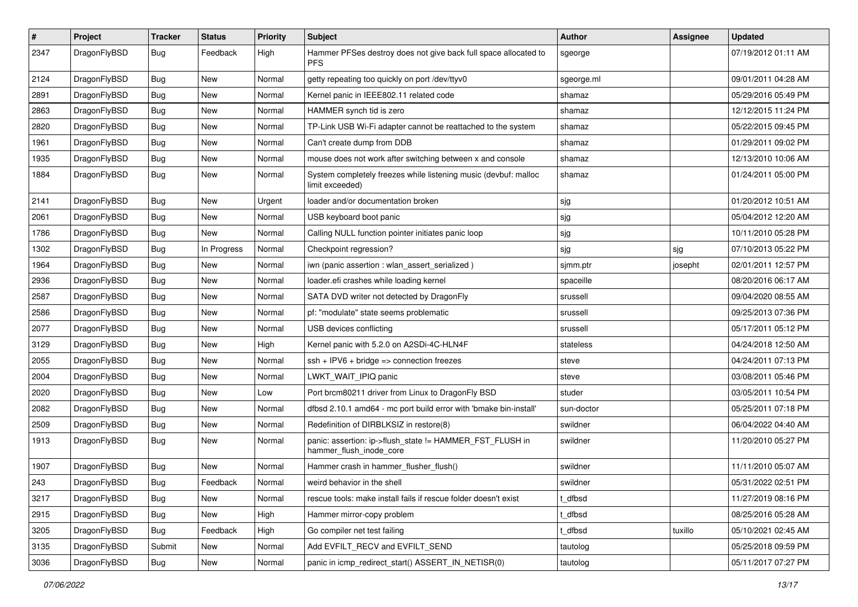| $\sharp$ | Project      | <b>Tracker</b> | <b>Status</b> | <b>Priority</b> | Subject                                                                             | Author     | Assignee | <b>Updated</b>      |
|----------|--------------|----------------|---------------|-----------------|-------------------------------------------------------------------------------------|------------|----------|---------------------|
| 2347     | DragonFlyBSD | Bug            | Feedback      | High            | Hammer PFSes destroy does not give back full space allocated to<br><b>PFS</b>       | sgeorge    |          | 07/19/2012 01:11 AM |
| 2124     | DragonFlyBSD | <b>Bug</b>     | <b>New</b>    | Normal          | getty repeating too quickly on port /dev/ttyv0                                      | sgeorge.ml |          | 09/01/2011 04:28 AM |
| 2891     | DragonFlyBSD | <b>Bug</b>     | New           | Normal          | Kernel panic in IEEE802.11 related code                                             | shamaz     |          | 05/29/2016 05:49 PM |
| 2863     | DragonFlyBSD | <b>Bug</b>     | <b>New</b>    | Normal          | HAMMER synch tid is zero                                                            | shamaz     |          | 12/12/2015 11:24 PM |
| 2820     | DragonFlyBSD | <b>Bug</b>     | <b>New</b>    | Normal          | TP-Link USB Wi-Fi adapter cannot be reattached to the system                        | shamaz     |          | 05/22/2015 09:45 PM |
| 1961     | DragonFlyBSD | <b>Bug</b>     | <b>New</b>    | Normal          | Can't create dump from DDB                                                          | shamaz     |          | 01/29/2011 09:02 PM |
| 1935     | DragonFlyBSD | <b>Bug</b>     | New           | Normal          | mouse does not work after switching between x and console                           | shamaz     |          | 12/13/2010 10:06 AM |
| 1884     | DragonFlyBSD | <b>Bug</b>     | New           | Normal          | System completely freezes while listening music (devbuf: malloc<br>limit exceeded)  | shamaz     |          | 01/24/2011 05:00 PM |
| 2141     | DragonFlyBSD | Bug            | <b>New</b>    | Urgent          | loader and/or documentation broken                                                  | sjg        |          | 01/20/2012 10:51 AM |
| 2061     | DragonFlyBSD | <b>Bug</b>     | New           | Normal          | USB keyboard boot panic                                                             | sjg        |          | 05/04/2012 12:20 AM |
| 1786     | DragonFlyBSD | <b>Bug</b>     | <b>New</b>    | Normal          | Calling NULL function pointer initiates panic loop                                  | sjg        |          | 10/11/2010 05:28 PM |
| 1302     | DragonFlyBSD | <b>Bug</b>     | In Progress   | Normal          | Checkpoint regression?                                                              | sjg        | sjg      | 07/10/2013 05:22 PM |
| 1964     | DragonFlyBSD | <b>Bug</b>     | <b>New</b>    | Normal          | iwn (panic assertion : wlan_assert_serialized)                                      | sjmm.ptr   | josepht  | 02/01/2011 12:57 PM |
| 2936     | DragonFlyBSD | <b>Bug</b>     | New           | Normal          | loader.efi crashes while loading kernel                                             | spaceille  |          | 08/20/2016 06:17 AM |
| 2587     | DragonFlyBSD | <b>Bug</b>     | <b>New</b>    | Normal          | SATA DVD writer not detected by DragonFly                                           | srussell   |          | 09/04/2020 08:55 AM |
| 2586     | DragonFlyBSD | <b>Bug</b>     | <b>New</b>    | Normal          | pf: "modulate" state seems problematic                                              | srussell   |          | 09/25/2013 07:36 PM |
| 2077     | DragonFlyBSD | <b>Bug</b>     | New           | Normal          | USB devices conflicting                                                             | srussell   |          | 05/17/2011 05:12 PM |
| 3129     | DragonFlyBSD | <b>Bug</b>     | <b>New</b>    | High            | Kernel panic with 5.2.0 on A2SDi-4C-HLN4F                                           | stateless  |          | 04/24/2018 12:50 AM |
| 2055     | DragonFlyBSD | <b>Bug</b>     | New           | Normal          | $ssh + IPV6 + bridge \Rightarrow connection freezes$                                | steve      |          | 04/24/2011 07:13 PM |
| 2004     | DragonFlyBSD | <b>Bug</b>     | New           | Normal          | LWKT_WAIT_IPIQ panic                                                                | steve      |          | 03/08/2011 05:46 PM |
| 2020     | DragonFlyBSD | <b>Bug</b>     | <b>New</b>    | Low             | Port brcm80211 driver from Linux to DragonFly BSD                                   | studer     |          | 03/05/2011 10:54 PM |
| 2082     | DragonFlyBSD | <b>Bug</b>     | <b>New</b>    | Normal          | dfbsd 2.10.1 amd64 - mc port build error with 'bmake bin-install'                   | sun-doctor |          | 05/25/2011 07:18 PM |
| 2509     | DragonFlyBSD | <b>Bug</b>     | New           | Normal          | Redefinition of DIRBLKSIZ in restore(8)                                             | swildner   |          | 06/04/2022 04:40 AM |
| 1913     | DragonFlyBSD | <b>Bug</b>     | New           | Normal          | panic: assertion: ip->flush_state != HAMMER_FST_FLUSH in<br>hammer_flush_inode_core | swildner   |          | 11/20/2010 05:27 PM |
| 1907     | DragonFlyBSD | <b>Bug</b>     | <b>New</b>    | Normal          | Hammer crash in hammer_flusher_flush()                                              | swildner   |          | 11/11/2010 05:07 AM |
| 243      | DragonFlyBSD | Bug            | Feedback      | Normal          | weird behavior in the shell                                                         | swildner   |          | 05/31/2022 02:51 PM |
| 3217     | DragonFlyBSD | <b>Bug</b>     | New           | Normal          | rescue tools: make install fails if rescue folder doesn't exist                     | t dfbsd    |          | 11/27/2019 08:16 PM |
| 2915     | DragonFlyBSD | Bug            | New           | High            | Hammer mirror-copy problem                                                          | t_dfbsd    |          | 08/25/2016 05:28 AM |
| 3205     | DragonFlyBSD | Bug            | Feedback      | High            | Go compiler net test failing                                                        | t dfbsd    | tuxillo  | 05/10/2021 02:45 AM |
| 3135     | DragonFlyBSD | Submit         | New           | Normal          | Add EVFILT_RECV and EVFILT_SEND                                                     | tautolog   |          | 05/25/2018 09:59 PM |
| 3036     | DragonFlyBSD | Bug            | New           | Normal          | panic in icmp redirect start() ASSERT IN NETISR(0)                                  | tautolog   |          | 05/11/2017 07:27 PM |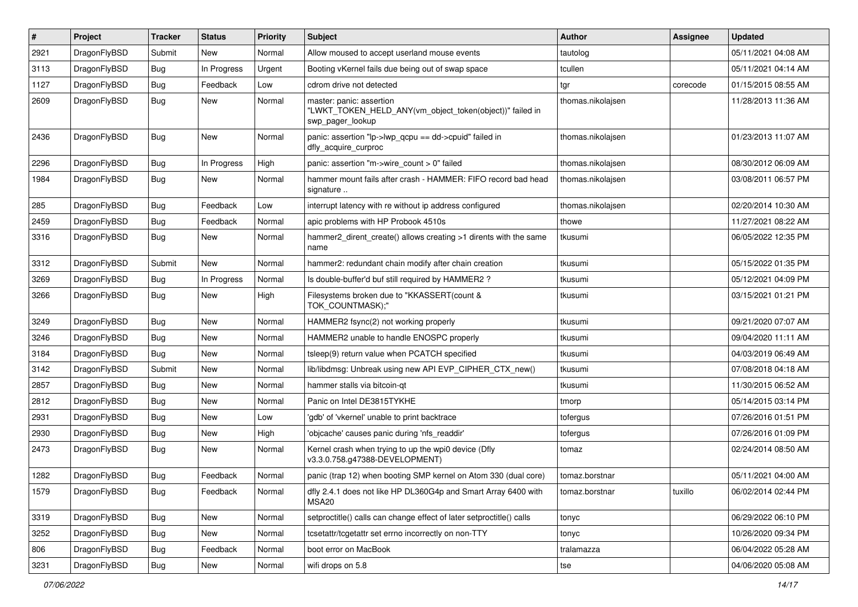| #    | Project      | <b>Tracker</b> | <b>Status</b> | <b>Priority</b> | <b>Subject</b>                                                                                           | Author            | Assignee | <b>Updated</b>      |
|------|--------------|----------------|---------------|-----------------|----------------------------------------------------------------------------------------------------------|-------------------|----------|---------------------|
| 2921 | DragonFlyBSD | Submit         | <b>New</b>    | Normal          | Allow moused to accept userland mouse events                                                             | tautolog          |          | 05/11/2021 04:08 AM |
| 3113 | DragonFlyBSD | <b>Bug</b>     | In Progress   | Urgent          | Booting vKernel fails due being out of swap space                                                        | tcullen           |          | 05/11/2021 04:14 AM |
| 1127 | DragonFlyBSD | <b>Bug</b>     | Feedback      | Low             | cdrom drive not detected                                                                                 | tgr               | corecode | 01/15/2015 08:55 AM |
| 2609 | DragonFlyBSD | Bug            | New           | Normal          | master: panic: assertion<br>"LWKT_TOKEN_HELD_ANY(vm_object_token(object))" failed in<br>swp pager lookup | thomas.nikolajsen |          | 11/28/2013 11:36 AM |
| 2436 | DragonFlyBSD | Bug            | <b>New</b>    | Normal          | panic: assertion "lp->lwp_qcpu == dd->cpuid" failed in<br>dfly_acquire_curproc                           | thomas.nikolajsen |          | 01/23/2013 11:07 AM |
| 2296 | DragonFlyBSD | <b>Bug</b>     | In Progress   | High            | panic: assertion "m->wire count > 0" failed                                                              | thomas.nikolaisen |          | 08/30/2012 06:09 AM |
| 1984 | DragonFlyBSD | <b>Bug</b>     | <b>New</b>    | Normal          | hammer mount fails after crash - HAMMER: FIFO record bad head<br>signature                               | thomas.nikolajsen |          | 03/08/2011 06:57 PM |
| 285  | DragonFlyBSD | <b>Bug</b>     | Feedback      | Low             | interrupt latency with re without ip address configured                                                  | thomas.nikolajsen |          | 02/20/2014 10:30 AM |
| 2459 | DragonFlyBSD | Bug            | Feedback      | Normal          | apic problems with HP Probook 4510s                                                                      | thowe             |          | 11/27/2021 08:22 AM |
| 3316 | DragonFlyBSD | Bug            | <b>New</b>    | Normal          | hammer2 dirent create() allows creating >1 dirents with the same<br>name                                 | tkusumi           |          | 06/05/2022 12:35 PM |
| 3312 | DragonFlyBSD | Submit         | <b>New</b>    | Normal          | hammer2: redundant chain modify after chain creation                                                     | tkusumi           |          | 05/15/2022 01:35 PM |
| 3269 | DragonFlyBSD | <b>Bug</b>     | In Progress   | Normal          | Is double-buffer'd buf still required by HAMMER2 ?                                                       | tkusumi           |          | 05/12/2021 04:09 PM |
| 3266 | DragonFlyBSD | Bug            | <b>New</b>    | High            | Filesystems broken due to "KKASSERT(count &<br>TOK COUNTMASK);"                                          | tkusumi           |          | 03/15/2021 01:21 PM |
| 3249 | DragonFlyBSD | <b>Bug</b>     | <b>New</b>    | Normal          | HAMMER2 fsync(2) not working properly                                                                    | tkusumi           |          | 09/21/2020 07:07 AM |
| 3246 | DragonFlyBSD | <b>Bug</b>     | <b>New</b>    | Normal          | HAMMER2 unable to handle ENOSPC properly                                                                 | tkusumi           |          | 09/04/2020 11:11 AM |
| 3184 | DragonFlyBSD | Bug            | <b>New</b>    | Normal          | tsleep(9) return value when PCATCH specified                                                             | tkusumi           |          | 04/03/2019 06:49 AM |
| 3142 | DragonFlyBSD | Submit         | <b>New</b>    | Normal          | lib/libdmsg: Unbreak using new API EVP CIPHER CTX new()                                                  | tkusumi           |          | 07/08/2018 04:18 AM |
| 2857 | DragonFlyBSD | Bug            | <b>New</b>    | Normal          | hammer stalls via bitcoin-qt                                                                             | tkusumi           |          | 11/30/2015 06:52 AM |
| 2812 | DragonFlyBSD | <b>Bug</b>     | <b>New</b>    | Normal          | Panic on Intel DE3815TYKHE                                                                               | tmorp             |          | 05/14/2015 03:14 PM |
| 2931 | DragonFlyBSD | <b>Bug</b>     | <b>New</b>    | Low             | 'gdb' of 'vkernel' unable to print backtrace                                                             | tofergus          |          | 07/26/2016 01:51 PM |
| 2930 | DragonFlyBSD | <b>Bug</b>     | <b>New</b>    | High            | 'objcache' causes panic during 'nfs readdir'                                                             | tofergus          |          | 07/26/2016 01:09 PM |
| 2473 | DragonFlyBSD | Bug            | <b>New</b>    | Normal          | Kernel crash when trying to up the wpi0 device (Dfly<br>v3.3.0.758.g47388-DEVELOPMENT)                   | tomaz             |          | 02/24/2014 08:50 AM |
| 1282 | DragonFlyBSD | <b>Bug</b>     | Feedback      | Normal          | panic (trap 12) when booting SMP kernel on Atom 330 (dual core)                                          | tomaz.borstnar    |          | 05/11/2021 04:00 AM |
| 1579 | DragonFlyBSD | <b>Bug</b>     | Feedback      | Normal          | dfly 2.4.1 does not like HP DL360G4p and Smart Array 6400 with<br>MSA20                                  | tomaz.borstnar    | tuxillo  | 06/02/2014 02:44 PM |
| 3319 | DragonFlyBSD | <b>Bug</b>     | New           | Normal          | setproctitle() calls can change effect of later setproctitle() calls                                     | tonyc             |          | 06/29/2022 06:10 PM |
| 3252 | DragonFlyBSD | Bug            | New           | Normal          | tcsetattr/tcgetattr set errno incorrectly on non-TTY                                                     | tonyc             |          | 10/26/2020 09:34 PM |
| 806  | DragonFlyBSD | <b>Bug</b>     | Feedback      | Normal          | boot error on MacBook                                                                                    | tralamazza        |          | 06/04/2022 05:28 AM |
| 3231 | DragonFlyBSD | Bug            | New           | Normal          | wifi drops on 5.8                                                                                        | tse               |          | 04/06/2020 05:08 AM |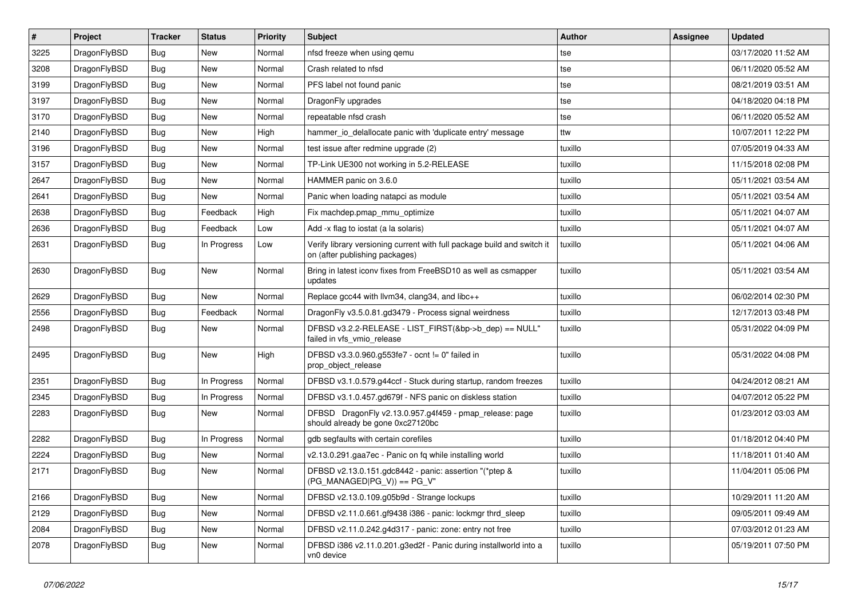| $\vert$ # | Project      | <b>Tracker</b> | <b>Status</b> | <b>Priority</b> | Subject                                                                                                   | <b>Author</b> | Assignee | <b>Updated</b>      |
|-----------|--------------|----------------|---------------|-----------------|-----------------------------------------------------------------------------------------------------------|---------------|----------|---------------------|
| 3225      | DragonFlyBSD | <b>Bug</b>     | New           | Normal          | nfsd freeze when using qemu                                                                               | tse           |          | 03/17/2020 11:52 AM |
| 3208      | DragonFlyBSD | Bug            | <b>New</b>    | Normal          | Crash related to nfsd                                                                                     | tse           |          | 06/11/2020 05:52 AM |
| 3199      | DragonFlyBSD | <b>Bug</b>     | New           | Normal          | PFS label not found panic                                                                                 | tse           |          | 08/21/2019 03:51 AM |
| 3197      | DragonFlyBSD | <b>Bug</b>     | New           | Normal          | DragonFly upgrades                                                                                        | tse           |          | 04/18/2020 04:18 PM |
| 3170      | DragonFlyBSD | Bug            | <b>New</b>    | Normal          | repeatable nfsd crash                                                                                     | tse           |          | 06/11/2020 05:52 AM |
| 2140      | DragonFlyBSD | <b>Bug</b>     | <b>New</b>    | High            | hammer io delallocate panic with 'duplicate entry' message                                                | ttw           |          | 10/07/2011 12:22 PM |
| 3196      | DragonFlyBSD | <b>Bug</b>     | <b>New</b>    | Normal          | test issue after redmine upgrade (2)                                                                      | tuxillo       |          | 07/05/2019 04:33 AM |
| 3157      | DragonFlyBSD | <b>Bug</b>     | New           | Normal          | TP-Link UE300 not working in 5.2-RELEASE                                                                  | tuxillo       |          | 11/15/2018 02:08 PM |
| 2647      | DragonFlyBSD | <b>Bug</b>     | New           | Normal          | HAMMER panic on 3.6.0                                                                                     | tuxillo       |          | 05/11/2021 03:54 AM |
| 2641      | DragonFlyBSD | Bug            | New           | Normal          | Panic when loading natapci as module                                                                      | tuxillo       |          | 05/11/2021 03:54 AM |
| 2638      | DragonFlyBSD | <b>Bug</b>     | Feedback      | High            | Fix machdep.pmap_mmu_optimize                                                                             | tuxillo       |          | 05/11/2021 04:07 AM |
| 2636      | DragonFlyBSD | Bug            | Feedback      | Low             | Add -x flag to iostat (a la solaris)                                                                      | tuxillo       |          | 05/11/2021 04:07 AM |
| 2631      | DragonFlyBSD | <b>Bug</b>     | In Progress   | Low             | Verify library versioning current with full package build and switch it<br>on (after publishing packages) | tuxillo       |          | 05/11/2021 04:06 AM |
| 2630      | DragonFlyBSD | Bug            | New           | Normal          | Bring in latest iconv fixes from FreeBSD10 as well as csmapper<br>updates                                 | tuxillo       |          | 05/11/2021 03:54 AM |
| 2629      | DragonFlyBSD | Bug            | New           | Normal          | Replace gcc44 with llvm34, clang34, and libc++                                                            | tuxillo       |          | 06/02/2014 02:30 PM |
| 2556      | DragonFlyBSD | Bug            | Feedback      | Normal          | DragonFly v3.5.0.81.gd3479 - Process signal weirdness                                                     | tuxillo       |          | 12/17/2013 03:48 PM |
| 2498      | DragonFlyBSD | Bug            | New           | Normal          | DFBSD v3.2.2-RELEASE - LIST_FIRST(&bp->b_dep) == NULL"<br>failed in vfs_vmio_release                      | tuxillo       |          | 05/31/2022 04:09 PM |
| 2495      | DragonFlyBSD | Bug            | New           | High            | DFBSD v3.3.0.960.g553fe7 - ocnt != 0" failed in<br>prop_object_release                                    | tuxillo       |          | 05/31/2022 04:08 PM |
| 2351      | DragonFlyBSD | Bug            | In Progress   | Normal          | DFBSD v3.1.0.579.g44ccf - Stuck during startup, random freezes                                            | tuxillo       |          | 04/24/2012 08:21 AM |
| 2345      | DragonFlyBSD | <b>Bug</b>     | In Progress   | Normal          | DFBSD v3.1.0.457.gd679f - NFS panic on diskless station                                                   | tuxillo       |          | 04/07/2012 05:22 PM |
| 2283      | DragonFlyBSD | <b>Bug</b>     | New           | Normal          | DFBSD DragonFly v2.13.0.957.g4f459 - pmap_release: page<br>should already be gone 0xc27120bc              | tuxillo       |          | 01/23/2012 03:03 AM |
| 2282      | DragonFlyBSD | <b>Bug</b>     | In Progress   | Normal          | gdb segfaults with certain corefiles                                                                      | tuxillo       |          | 01/18/2012 04:40 PM |
| 2224      | DragonFlyBSD | <b>Bug</b>     | <b>New</b>    | Normal          | v2.13.0.291.gaa7ec - Panic on fq while installing world                                                   | tuxillo       |          | 11/18/2011 01:40 AM |
| 2171      | DragonFlyBSD | Bug            | New           | Normal          | DFBSD v2.13.0.151.gdc8442 - panic: assertion "(*ptep &<br>$(PG_MANAGED PG_V)) == PG_V"$                   | tuxillo       |          | 11/04/2011 05:06 PM |
| 2166      | DragonFlyBSD | Bug            | New           | Normal          | DFBSD v2.13.0.109.g05b9d - Strange lockups                                                                | tuxillo       |          | 10/29/2011 11:20 AM |
| 2129      | DragonFlyBSD | Bug            | New           | Normal          | DFBSD v2.11.0.661.gf9438 i386 - panic: lockmgr thrd_sleep                                                 | tuxillo       |          | 09/05/2011 09:49 AM |
| 2084      | DragonFlyBSD | <b>Bug</b>     | New           | Normal          | DFBSD v2.11.0.242.g4d317 - panic: zone: entry not free                                                    | tuxillo       |          | 07/03/2012 01:23 AM |
| 2078      | DragonFlyBSD | <b>Bug</b>     | New           | Normal          | DFBSD i386 v2.11.0.201.g3ed2f - Panic during installworld into a<br>vn0 device                            | tuxillo       |          | 05/19/2011 07:50 PM |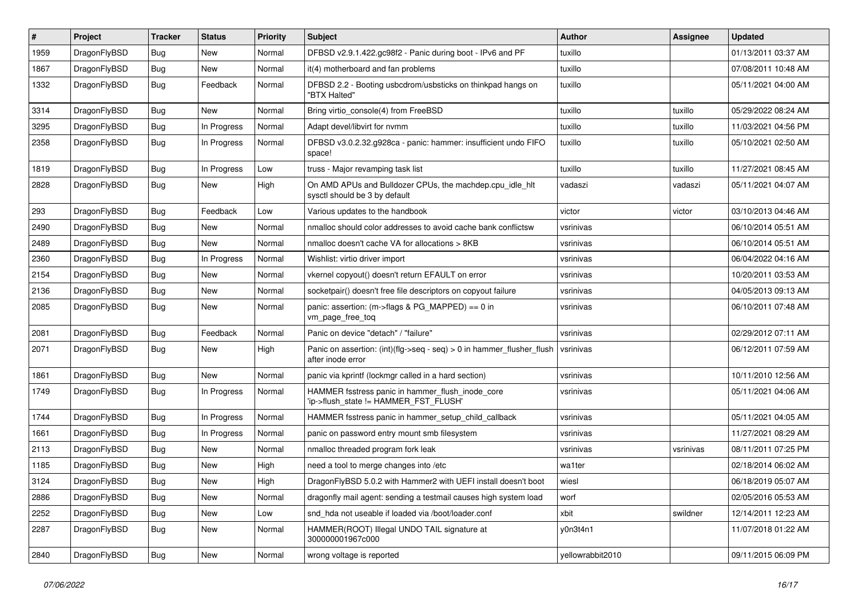| $\#$ | Project      | <b>Tracker</b> | <b>Status</b> | <b>Priority</b> | <b>Subject</b>                                                                             | <b>Author</b>    | Assignee  | <b>Updated</b>      |
|------|--------------|----------------|---------------|-----------------|--------------------------------------------------------------------------------------------|------------------|-----------|---------------------|
| 1959 | DragonFlyBSD | <b>Bug</b>     | <b>New</b>    | Normal          | DFBSD v2.9.1.422.gc98f2 - Panic during boot - IPv6 and PF                                  | tuxillo          |           | 01/13/2011 03:37 AM |
| 1867 | DragonFlyBSD | <b>Bug</b>     | New           | Normal          | it(4) motherboard and fan problems                                                         | tuxillo          |           | 07/08/2011 10:48 AM |
| 1332 | DragonFlyBSD | Bug            | Feedback      | Normal          | DFBSD 2.2 - Booting usbcdrom/usbsticks on thinkpad hangs on<br>"BTX Halted"                | tuxillo          |           | 05/11/2021 04:00 AM |
| 3314 | DragonFlyBSD | Bug            | New           | Normal          | Bring virtio_console(4) from FreeBSD                                                       | tuxillo          | tuxillo   | 05/29/2022 08:24 AM |
| 3295 | DragonFlyBSD | <b>Bug</b>     | In Progress   | Normal          | Adapt devel/libvirt for nvmm                                                               | tuxillo          | tuxillo   | 11/03/2021 04:56 PM |
| 2358 | DragonFlyBSD | Bug            | In Progress   | Normal          | DFBSD v3.0.2.32.g928ca - panic: hammer: insufficient undo FIFO<br>space!                   | tuxillo          | tuxillo   | 05/10/2021 02:50 AM |
| 1819 | DragonFlyBSD | <b>Bug</b>     | In Progress   | Low             | truss - Major revamping task list                                                          | tuxillo          | tuxillo   | 11/27/2021 08:45 AM |
| 2828 | DragonFlyBSD | <b>Bug</b>     | New           | High            | On AMD APUs and Bulldozer CPUs, the machdep.cpu_idle_hlt<br>sysctl should be 3 by default  | vadaszi          | vadaszi   | 05/11/2021 04:07 AM |
| 293  | DragonFlyBSD | <b>Bug</b>     | Feedback      | Low             | Various updates to the handbook                                                            | victor           | victor    | 03/10/2013 04:46 AM |
| 2490 | DragonFlyBSD | <b>Bug</b>     | <b>New</b>    | Normal          | nmalloc should color addresses to avoid cache bank conflictsw                              | vsrinivas        |           | 06/10/2014 05:51 AM |
| 2489 | DragonFlyBSD | Bug            | New           | Normal          | nmalloc doesn't cache VA for allocations > 8KB                                             | vsrinivas        |           | 06/10/2014 05:51 AM |
| 2360 | DragonFlyBSD | <b>Bug</b>     | In Progress   | Normal          | Wishlist: virtio driver import                                                             | vsrinivas        |           | 06/04/2022 04:16 AM |
| 2154 | DragonFlyBSD | Bug            | New           | Normal          | vkernel copyout() doesn't return EFAULT on error                                           | vsrinivas        |           | 10/20/2011 03:53 AM |
| 2136 | DragonFlyBSD | Bug            | New           | Normal          | socketpair() doesn't free file descriptors on copyout failure                              | vsrinivas        |           | 04/05/2013 09:13 AM |
| 2085 | DragonFlyBSD | Bug            | New           | Normal          | panic: assertion: (m->flags & PG_MAPPED) == 0 in<br>vm_page_free_toq                       | vsrinivas        |           | 06/10/2011 07:48 AM |
| 2081 | DragonFlyBSD | Bug            | Feedback      | Normal          | Panic on device "detach" / "failure"                                                       | vsrinivas        |           | 02/29/2012 07:11 AM |
| 2071 | DragonFlyBSD | <b>Bug</b>     | New           | High            | Panic on assertion: (int)(flg->seq - seq) > 0 in hammer_flusher_flush<br>after inode error | vsrinivas        |           | 06/12/2011 07:59 AM |
| 1861 | DragonFlyBSD | <b>Bug</b>     | New           | Normal          | panic via kprintf (lockmgr called in a hard section)                                       | vsrinivas        |           | 10/11/2010 12:56 AM |
| 1749 | DragonFlyBSD | <b>Bug</b>     | In Progress   | Normal          | HAMMER fsstress panic in hammer_flush_inode_core<br>'ip->flush_state != HAMMER_FST_FLUSH'  | vsrinivas        |           | 05/11/2021 04:06 AM |
| 1744 | DragonFlyBSD | <b>Bug</b>     | In Progress   | Normal          | HAMMER fsstress panic in hammer_setup_child_callback                                       | vsrinivas        |           | 05/11/2021 04:05 AM |
| 1661 | DragonFlyBSD | Bug            | In Progress   | Normal          | panic on password entry mount smb filesystem                                               | vsrinivas        |           | 11/27/2021 08:29 AM |
| 2113 | DragonFlyBSD | Bug            | New           | Normal          | nmalloc threaded program fork leak                                                         | vsrinivas        | vsrinivas | 08/11/2011 07:25 PM |
| 1185 | DragonFlyBSD | <b>Bug</b>     | New           | High            | need a tool to merge changes into /etc                                                     | wa1ter           |           | 02/18/2014 06:02 AM |
| 3124 | DragonFlyBSD | Bug            | New           | High            | DragonFlyBSD 5.0.2 with Hammer2 with UEFI install doesn't boot                             | wiesl            |           | 06/18/2019 05:07 AM |
| 2886 | DragonFlyBSD | Bug            | New           | Normal          | dragonfly mail agent: sending a testmail causes high system load                           | worf             |           | 02/05/2016 05:53 AM |
| 2252 | DragonFlyBSD | <b>Bug</b>     | New           | Low             | snd_hda not useable if loaded via /boot/loader.conf                                        | xbit             | swildner  | 12/14/2011 12:23 AM |
| 2287 | DragonFlyBSD | <b>Bug</b>     | New           | Normal          | HAMMER(ROOT) Illegal UNDO TAIL signature at<br>300000001967c000                            | y0n3t4n1         |           | 11/07/2018 01:22 AM |
| 2840 | DragonFlyBSD | <b>Bug</b>     | New           | Normal          | wrong voltage is reported                                                                  | yellowrabbit2010 |           | 09/11/2015 06:09 PM |